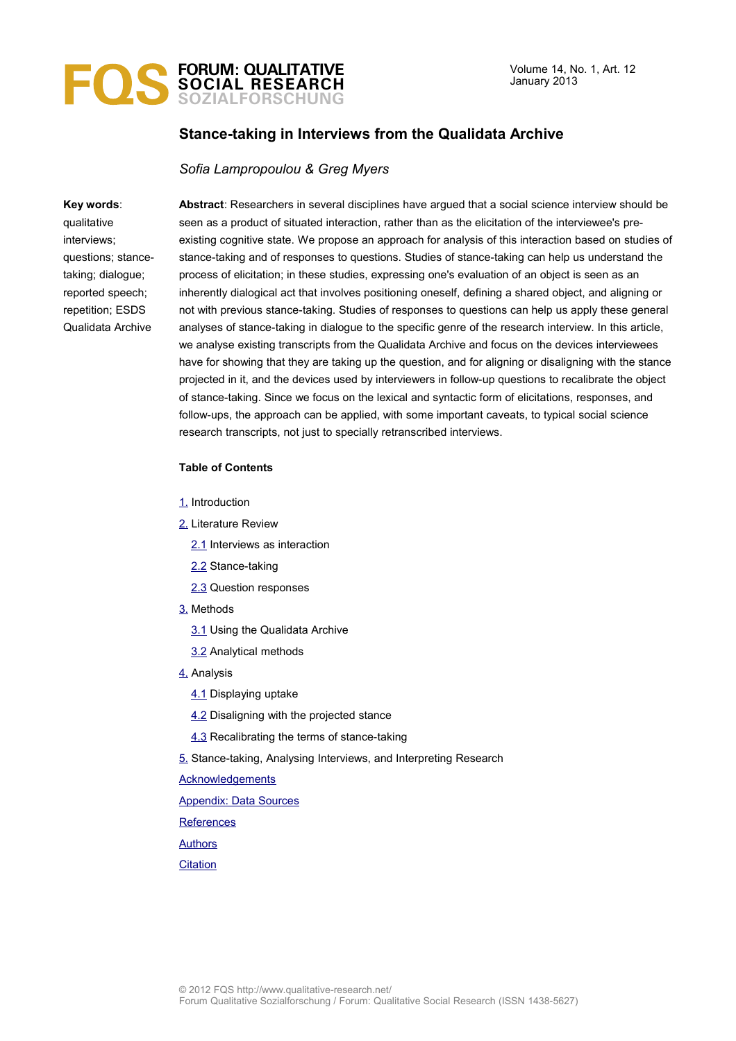

# **Stance-taking in Interviews from the Qualidata Archive**

### *Sofia Lampropoulou & Greg Myers*

#### **Key words**:

qualitative interviews; questions; stancetaking; dialogue; reported speech; repetition; ESDS Qualidata Archive

**Abstract**: Researchers in several disciplines have argued that a social science interview should be seen as a product of situated interaction, rather than as the elicitation of the interviewee's preexisting cognitive state. We propose an approach for analysis of this interaction based on studies of stance-taking and of responses to questions. Studies of stance-taking can help us understand the process of elicitation; in these studies, expressing one's evaluation of an object is seen as an inherently dialogical act that involves positioning oneself, defining a shared object, and aligning or not with previous stance-taking. Studies of responses to questions can help us apply these general analyses of stance-taking in dialogue to the specific genre of the research interview. In this article, we analyse existing transcripts from the Qualidata Archive and focus on the devices interviewees have for showing that they are taking up the question, and for aligning or disaligning with the stance projected in it, and the devices used by interviewers in follow-up questions to recalibrate the object of stance-taking. Since we focus on the lexical and syntactic form of elicitations, responses, and follow-ups, the approach can be applied, with some important caveats, to typical social science research transcripts, not just to specially retranscribed interviews.

#### **Table of Contents**

- [1.](#page-1-0) Introduction
- [2.](#page-2-1) Literature Review
	- [2.1](#page-2-0) Interviews as interaction
	- [2.2](#page-3-0) Stance-taking
	- [2.3](#page-5-0) Question responses
- [3.](#page-6-1) Methods
	- [3.1](#page-6-0) Using the Qualidata Archive
	- [3.2](#page-8-0) Analytical methods
- [4.](#page-9-1) Analysis
	- [4.1](#page-9-0) Displaying uptake
	- [4.2](#page-10-0) Disaligning with the projected stance
	- [4.3](#page-14-0) Recalibrating the terms of stance-taking
- [5.](#page-15-0) Stance-taking, Analysing Interviews, and Interpreting Research
- **[Acknowledgements](#page-17-0)**
- [Appendix: Data Sources](#page-18-0)
- **[References](#page-19-0)**
- **[Authors](#page-22-1)**
- **[Citation](#page-22-0)**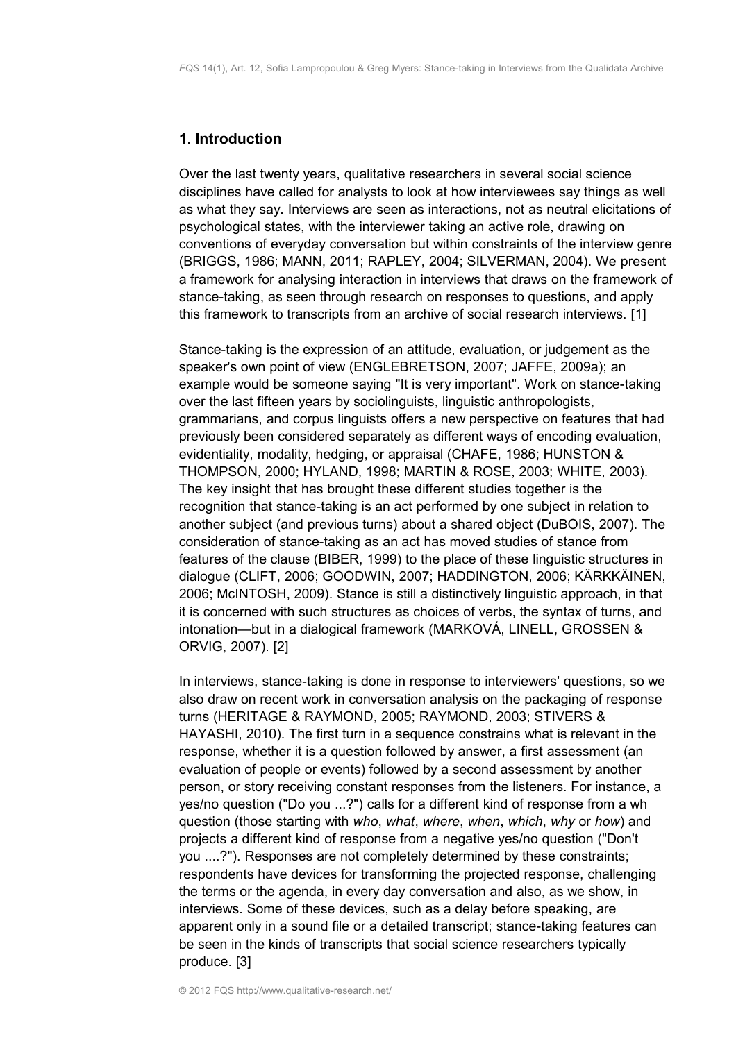# <span id="page-1-0"></span>**1. Introduction**

Over the last twenty years, qualitative researchers in several social science disciplines have called for analysts to look at how interviewees say things as well as what they say. Interviews are seen as interactions, not as neutral elicitations of psychological states, with the interviewer taking an active role, drawing on conventions of everyday conversation but within constraints of the interview genre (BRIGGS, 1986; MANN, 2011; RAPLEY, 2004; SILVERMAN, 2004). We present a framework for analysing interaction in interviews that draws on the framework of stance-taking, as seen through research on responses to questions, and apply this framework to transcripts from an archive of social research interviews. [1]

Stance-taking is the expression of an attitude, evaluation, or judgement as the speaker's own point of view (ENGLEBRETSON, 2007; JAFFE, 2009a); an example would be someone saying "It is very important". Work on stance-taking over the last fifteen years by sociolinguists, linguistic anthropologists, grammarians, and corpus linguists offers a new perspective on features that had previously been considered separately as different ways of encoding evaluation, evidentiality, modality, hedging, or appraisal (CHAFE, 1986; HUNSTON & THOMPSON, 2000; HYLAND, 1998; MARTIN & ROSE, 2003; WHITE, 2003). The key insight that has brought these different studies together is the recognition that stance-taking is an act performed by one subject in relation to another subject (and previous turns) about a shared object (DuBOIS, 2007). The consideration of stance-taking as an act has moved studies of stance from features of the clause (BIBER, 1999) to the place of these linguistic structures in dialogue (CLIFT, 2006; GOODWIN, 2007; HADDINGTON, 2006; KÄRKKÄINEN, 2006; McINTOSH, 2009). Stance is still a distinctively linguistic approach, in that it is concerned with such structures as choices of verbs, the syntax of turns, and intonation—but in a dialogical framework (MARKOVÁ, LINELL, GROSSEN & ORVIG, 2007). [2]

In interviews, stance-taking is done in response to interviewers' questions, so we also draw on recent work in conversation analysis on the packaging of response turns (HERITAGE & RAYMOND, 2005; RAYMOND, 2003; STIVERS & HAYASHI, 2010). The first turn in a sequence constrains what is relevant in the response, whether it is a question followed by answer, a first assessment (an evaluation of people or events) followed by a second assessment by another person, or story receiving constant responses from the listeners. For instance, a yes/no question ("Do you ...?") calls for a different kind of response from a wh question (those starting with *who*, *what*, *where*, *when*, *which*, *why* or *how*) and projects a different kind of response from a negative yes/no question ("Don't you ....?"). Responses are not completely determined by these constraints; respondents have devices for transforming the projected response, challenging the terms or the agenda, in every day conversation and also, as we show, in interviews. Some of these devices, such as a delay before speaking, are apparent only in a sound file or a detailed transcript; stance-taking features can be seen in the kinds of transcripts that social science researchers typically produce. [3]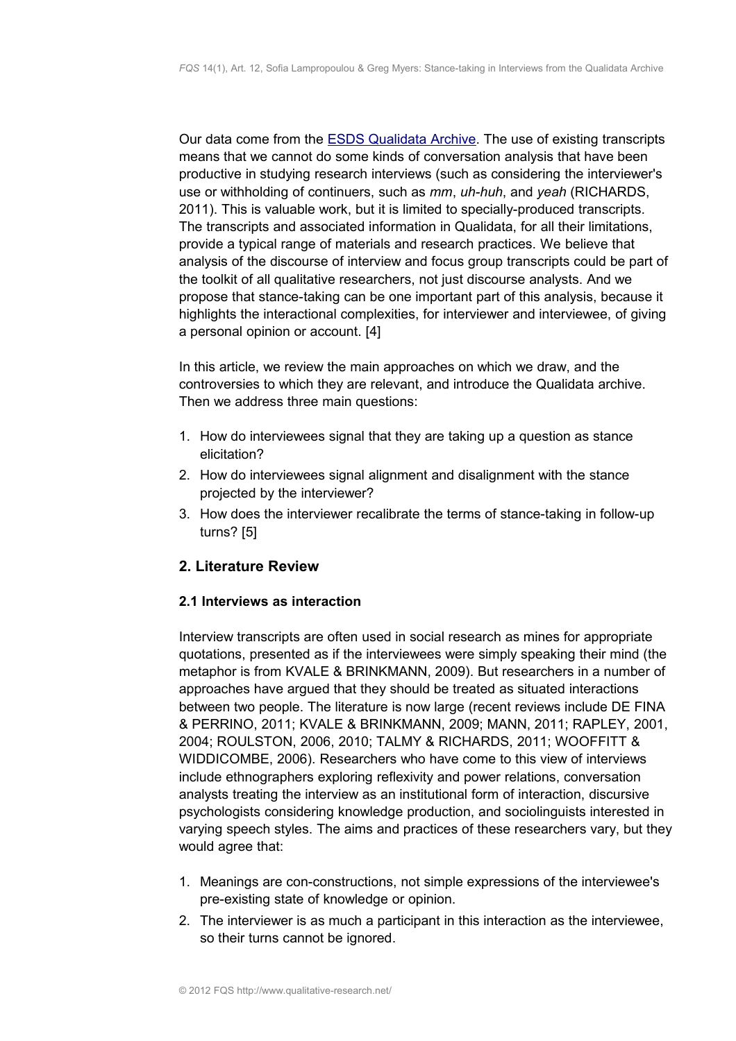Our data come from the [ESDS Qualidata Archive.](http://www.esds.ac.uk/qualidata/) The use of existing transcripts means that we cannot do some kinds of conversation analysis that have been productive in studying research interviews (such as considering the interviewer's use or withholding of continuers, such as *mm*, *uh-huh*, and *yeah* (RICHARDS, 2011). This is valuable work, but it is limited to specially-produced transcripts. The transcripts and associated information in Qualidata, for all their limitations, provide a typical range of materials and research practices. We believe that analysis of the discourse of interview and focus group transcripts could be part of the toolkit of all qualitative researchers, not just discourse analysts. And we propose that stance-taking can be one important part of this analysis, because it highlights the interactional complexities, for interviewer and interviewee, of giving a personal opinion or account. [4]

In this article, we review the main approaches on which we draw, and the controversies to which they are relevant, and introduce the Qualidata archive. Then we address three main questions:

- 1. How do interviewees signal that they are taking up a question as stance elicitation?
- 2. How do interviewees signal alignment and disalignment with the stance projected by the interviewer?
- 3. How does the interviewer recalibrate the terms of stance-taking in follow-up turns? [5]

# <span id="page-2-1"></span>**2. Literature Review**

# <span id="page-2-0"></span>**2.1 Interviews as interaction**

Interview transcripts are often used in social research as mines for appropriate quotations, presented as if the interviewees were simply speaking their mind (the metaphor is from KVALE & BRINKMANN, 2009). But researchers in a number of approaches have argued that they should be treated as situated interactions between two people. The literature is now large (recent reviews include DE FINA & PERRINO, 2011; KVALE & BRINKMANN, 2009; MANN, 2011; RAPLEY, 2001, 2004; ROULSTON, 2006, 2010; TALMY & RICHARDS, 2011; WOOFFITT & WIDDICOMBE, 2006). Researchers who have come to this view of interviews include ethnographers exploring reflexivity and power relations, conversation analysts treating the interview as an institutional form of interaction, discursive psychologists considering knowledge production, and sociolinguists interested in varying speech styles. The aims and practices of these researchers vary, but they would agree that:

- 1. Meanings are con-constructions, not simple expressions of the interviewee's pre-existing state of knowledge or opinion.
- 2. The interviewer is as much a participant in this interaction as the interviewee, so their turns cannot be ignored.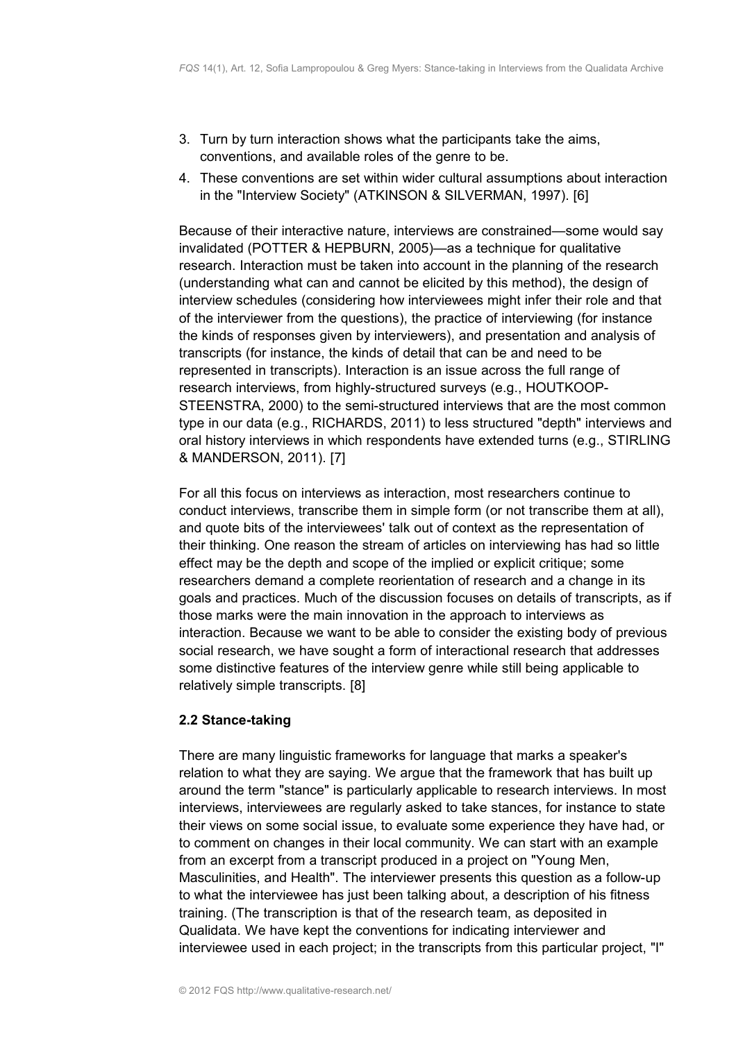- 3. Turn by turn interaction shows what the participants take the aims, conventions, and available roles of the genre to be.
- 4. These conventions are set within wider cultural assumptions about interaction in the "Interview Society" (ATKINSON & SILVERMAN, 1997). [6]

Because of their interactive nature, interviews are constrained—some would say invalidated (POTTER & HEPBURN, 2005)—as a technique for qualitative research. Interaction must be taken into account in the planning of the research (understanding what can and cannot be elicited by this method), the design of interview schedules (considering how interviewees might infer their role and that of the interviewer from the questions), the practice of interviewing (for instance the kinds of responses given by interviewers), and presentation and analysis of transcripts (for instance, the kinds of detail that can be and need to be represented in transcripts). Interaction is an issue across the full range of research interviews, from highly-structured surveys (e.g., HOUTKOOP-STEENSTRA, 2000) to the semi-structured interviews that are the most common type in our data (e.g., RICHARDS, 2011) to less structured "depth" interviews and oral history interviews in which respondents have extended turns (e.g., STIRLING & MANDERSON, 2011). [7]

For all this focus on interviews as interaction, most researchers continue to conduct interviews, transcribe them in simple form (or not transcribe them at all), and quote bits of the interviewees' talk out of context as the representation of their thinking. One reason the stream of articles on interviewing has had so little effect may be the depth and scope of the implied or explicit critique; some researchers demand a complete reorientation of research and a change in its goals and practices. Much of the discussion focuses on details of transcripts, as if those marks were the main innovation in the approach to interviews as interaction. Because we want to be able to consider the existing body of previous social research, we have sought a form of interactional research that addresses some distinctive features of the interview genre while still being applicable to relatively simple transcripts. [8]

# <span id="page-3-0"></span>**2.2 Stance-taking**

There are many linguistic frameworks for language that marks a speaker's relation to what they are saying. We argue that the framework that has built up around the term "stance" is particularly applicable to research interviews. In most interviews, interviewees are regularly asked to take stances, for instance to state their views on some social issue, to evaluate some experience they have had, or to comment on changes in their local community. We can start with an example from an excerpt from a transcript produced in a project on "Young Men, Masculinities, and Health". The interviewer presents this question as a follow-up to what the interviewee has just been talking about, a description of his fitness training. (The transcription is that of the research team, as deposited in Qualidata. We have kept the conventions for indicating interviewer and interviewee used in each project; in the transcripts from this particular project, "I"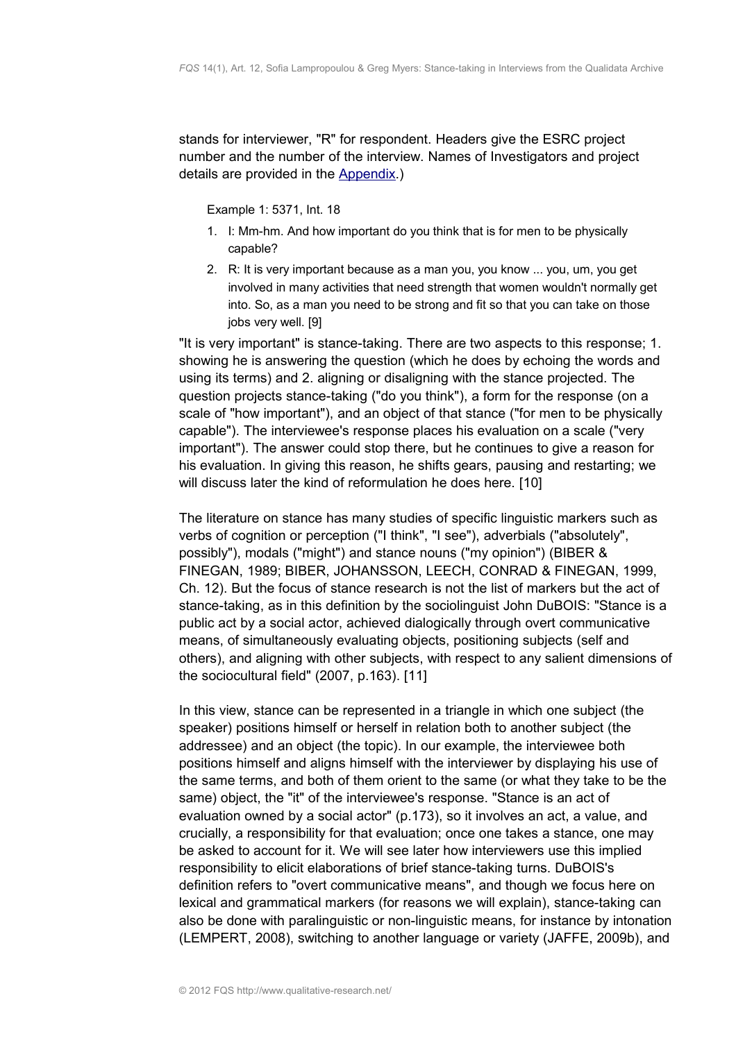stands for interviewer, "R" for respondent. Headers give the ESRC project number and the number of the interview. Names of Investigators and project details are provided in the [Appendix.](#page-18-0))

Example 1: 5371, Int. 18

- 1. I: Mm-hm. And how important do you think that is for men to be physically capable?
- 2. R: It is very important because as a man you, you know ... you, um, you get involved in many activities that need strength that women wouldn't normally get into. So, as a man you need to be strong and fit so that you can take on those iobs very well. [9]

"It is very important" is stance-taking. There are two aspects to this response; 1. showing he is answering the question (which he does by echoing the words and using its terms) and 2. aligning or disaligning with the stance projected. The question projects stance-taking ("do you think"), a form for the response (on a scale of "how important"), and an object of that stance ("for men to be physically capable"). The interviewee's response places his evaluation on a scale ("very important"). The answer could stop there, but he continues to give a reason for his evaluation. In giving this reason, he shifts gears, pausing and restarting; we will discuss later the kind of reformulation he does here. [10]

The literature on stance has many studies of specific linguistic markers such as verbs of cognition or perception ("I think", "I see"), adverbials ("absolutely", possibly"), modals ("might") and stance nouns ("my opinion") (BIBER & FINEGAN, 1989; BIBER, JOHANSSON, LEECH, CONRAD & FINEGAN, 1999, Ch. 12). But the focus of stance research is not the list of markers but the act of stance-taking, as in this definition by the sociolinguist John DuBOIS: "Stance is a public act by a social actor, achieved dialogically through overt communicative means, of simultaneously evaluating objects, positioning subjects (self and others), and aligning with other subjects, with respect to any salient dimensions of the sociocultural field" (2007, p.163). [11]

In this view, stance can be represented in a triangle in which one subject (the speaker) positions himself or herself in relation both to another subject (the addressee) and an object (the topic). In our example, the interviewee both positions himself and aligns himself with the interviewer by displaying his use of the same terms, and both of them orient to the same (or what they take to be the same) object, the "it" of the interviewee's response. "Stance is an act of evaluation owned by a social actor" (p.173), so it involves an act, a value, and crucially, a responsibility for that evaluation; once one takes a stance, one may be asked to account for it. We will see later how interviewers use this implied responsibility to elicit elaborations of brief stance-taking turns. DuBOIS's definition refers to "overt communicative means", and though we focus here on lexical and grammatical markers (for reasons we will explain), stance-taking can also be done with paralinguistic or non-linguistic means, for instance by intonation (LEMPERT, 2008), switching to another language or variety (JAFFE, 2009b), and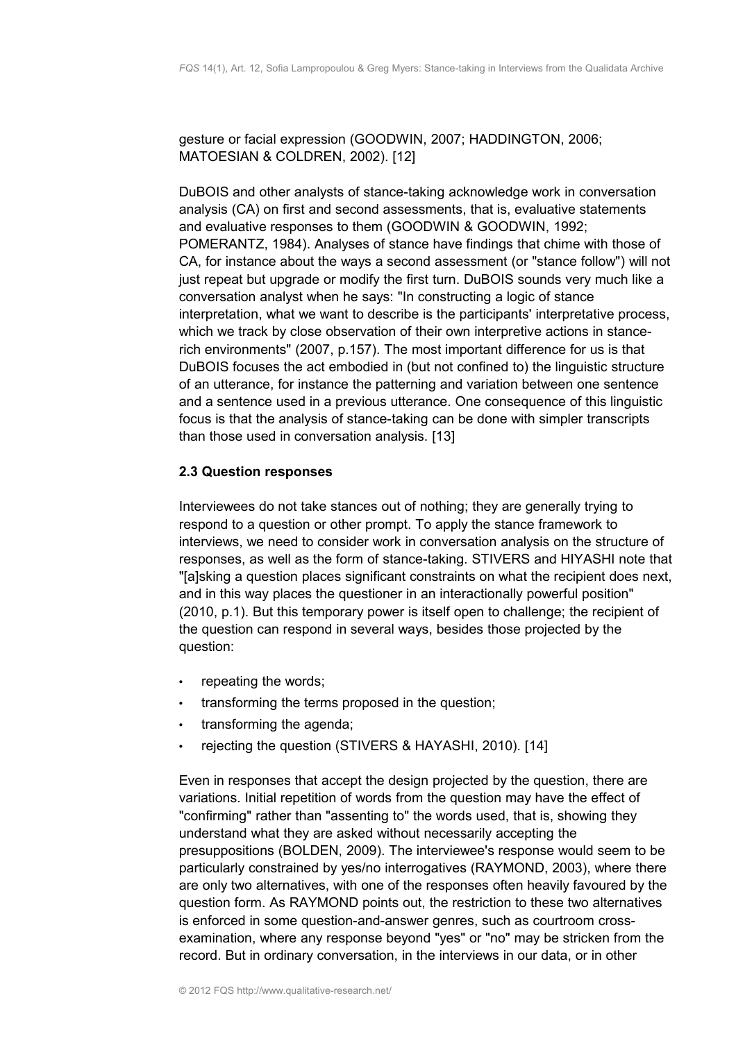gesture or facial expression (GOODWIN, 2007; HADDINGTON, 2006; MATOESIAN & COLDREN, 2002). [12]

DuBOIS and other analysts of stance-taking acknowledge work in conversation analysis (CA) on first and second assessments, that is, evaluative statements and evaluative responses to them (GOODWIN & GOODWIN, 1992; POMERANTZ, 1984). Analyses of stance have findings that chime with those of CA, for instance about the ways a second assessment (or "stance follow") will not just repeat but upgrade or modify the first turn. DuBOIS sounds very much like a conversation analyst when he says: "In constructing a logic of stance interpretation, what we want to describe is the participants' interpretative process, which we track by close observation of their own interpretive actions in stancerich environments" (2007, p.157). The most important difference for us is that DuBOIS focuses the act embodied in (but not confined to) the linguistic structure of an utterance, for instance the patterning and variation between one sentence and a sentence used in a previous utterance. One consequence of this linguistic focus is that the analysis of stance-taking can be done with simpler transcripts than those used in conversation analysis. [13]

# <span id="page-5-0"></span>**2.3 Question responses**

Interviewees do not take stances out of nothing; they are generally trying to respond to a question or other prompt. To apply the stance framework to interviews, we need to consider work in conversation analysis on the structure of responses, as well as the form of stance-taking. STIVERS and HIYASHI note that "[a]sking a question places significant constraints on what the recipient does next, and in this way places the questioner in an interactionally powerful position" (2010, p.1). But this temporary power is itself open to challenge; the recipient of the question can respond in several ways, besides those projected by the question:

- repeating the words;
- transforming the terms proposed in the question;
- transforming the agenda:
- rejecting the question (STIVERS & HAYASHI, 2010). [14]

Even in responses that accept the design projected by the question, there are variations. Initial repetition of words from the question may have the effect of "confirming" rather than "assenting to" the words used, that is, showing they understand what they are asked without necessarily accepting the presuppositions (BOLDEN, 2009). The interviewee's response would seem to be particularly constrained by yes/no interrogatives (RAYMOND, 2003), where there are only two alternatives, with one of the responses often heavily favoured by the question form. As RAYMOND points out, the restriction to these two alternatives is enforced in some question-and-answer genres, such as courtroom crossexamination, where any response beyond "yes" or "no" may be stricken from the record. But in ordinary conversation, in the interviews in our data, or in other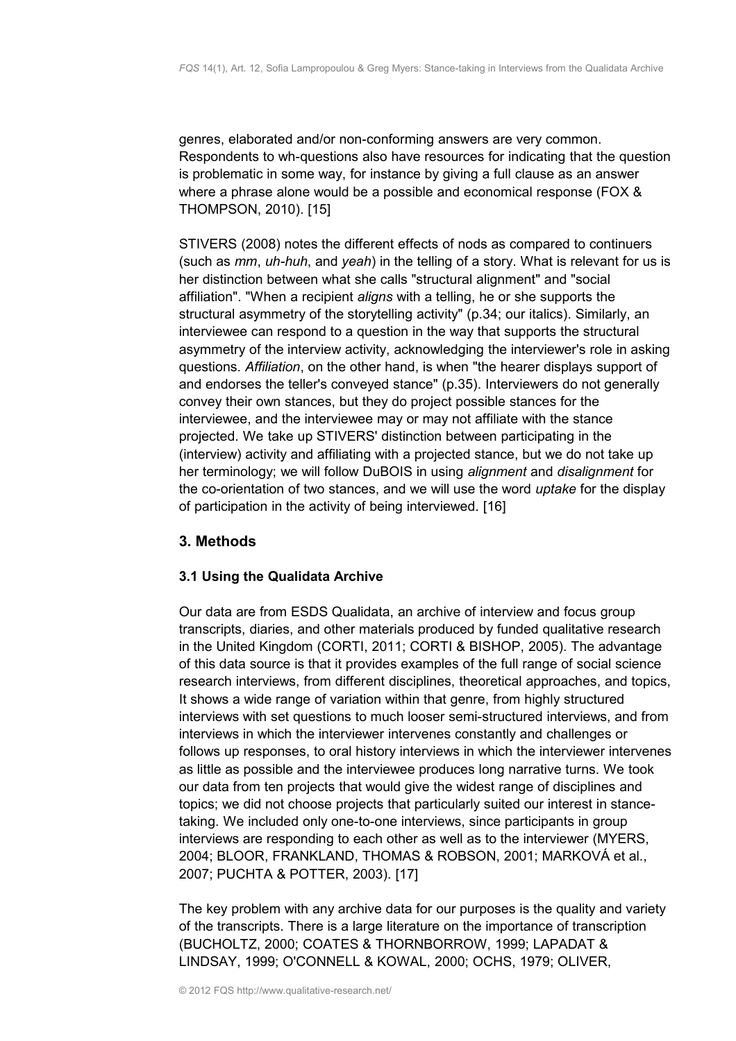genres, elaborated and/or non-conforming answers are very common. Respondents to wh-questions also have resources for indicating that the question is problematic in some way, for instance by giving a full clause as an answer where a phrase alone would be a possible and economical response (FOX & THOMPSON, 2010). [15]

STIVERS (2008) notes the different effects of nods as compared to continuers (such as *mm*, *uh-huh*, and *yeah*) in the telling of a story. What is relevant for us is her distinction between what she calls "structural alignment" and "social affiliation". "When a recipient *aligns* with a telling, he or she supports the structural asymmetry of the storytelling activity" (p.34; our italics). Similarly, an interviewee can respond to a question in the way that supports the structural asymmetry of the interview activity, acknowledging the interviewer's role in asking questions. *Affiliation*, on the other hand, is when "the hearer displays support of and endorses the teller's conveyed stance" (p.35). Interviewers do not generally convey their own stances, but they do project possible stances for the interviewee, and the interviewee may or may not affiliate with the stance projected. We take up STIVERS' distinction between participating in the (interview) activity and affiliating with a projected stance, but we do not take up her terminology; we will follow DuBOIS in using *alignment* and *disalignment* for the co-orientation of two stances, and we will use the word *uptake* for the display of participation in the activity of being interviewed. [16]

# <span id="page-6-1"></span>**3. Methods**

# <span id="page-6-0"></span>**3.1 Using the Qualidata Archive**

Our data are from ESDS Qualidata, an archive of interview and focus group transcripts, diaries, and other materials produced by funded qualitative research in the United Kingdom (CORTI, 2011; CORTI & BISHOP, 2005). The advantage of this data source is that it provides examples of the full range of social science research interviews, from different disciplines, theoretical approaches, and topics, It shows a wide range of variation within that genre, from highly structured interviews with set questions to much looser semi-structured interviews, and from interviews in which the interviewer intervenes constantly and challenges or follows up responses, to oral history interviews in which the interviewer intervenes as little as possible and the interviewee produces long narrative turns. We took our data from ten projects that would give the widest range of disciplines and topics; we did not choose projects that particularly suited our interest in stancetaking. We included only one-to-one interviews, since participants in group interviews are responding to each other as well as to the interviewer (MYERS, 2004; BLOOR, FRANKLAND, THOMAS & ROBSON, 2001; MARKOVÁ et al., 2007; PUCHTA & POTTER, 2003). [17]

The key problem with any archive data for our purposes is the quality and variety of the transcripts. There is a large literature on the importance of transcription (BUCHOLTZ, 2000; COATES & THORNBORROW, 1999; LAPADAT & LINDSAY, 1999; O'CONNELL & KOWAL, 2000; OCHS, 1979; OLIVER,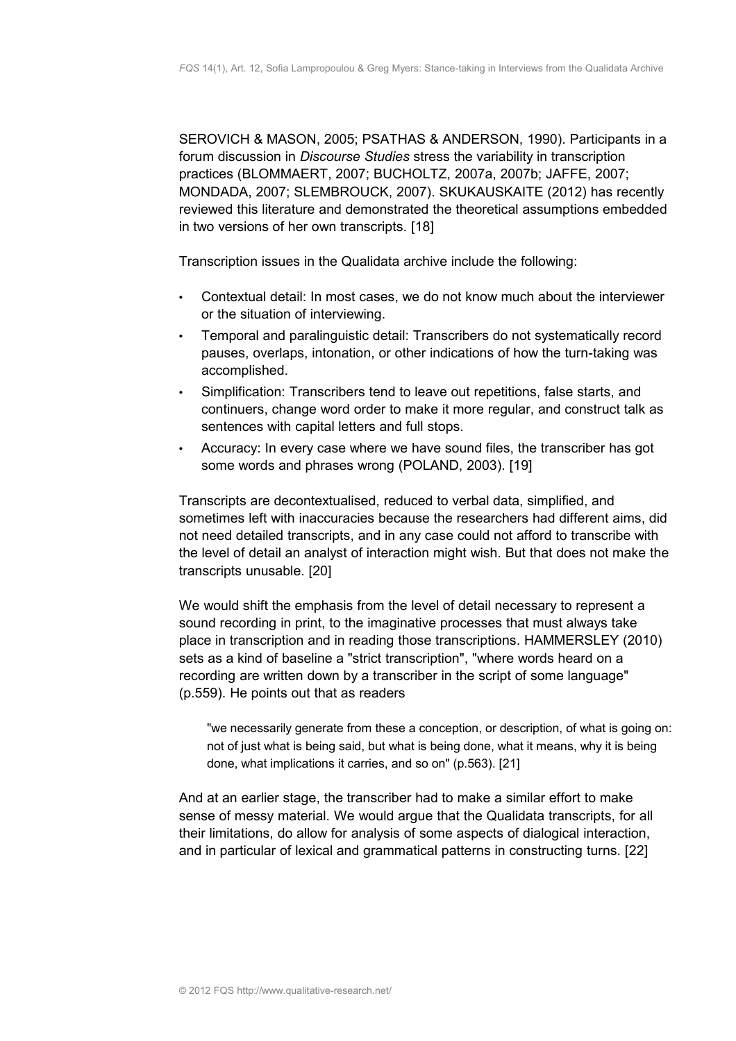SEROVICH & MASON, 2005; PSATHAS & ANDERSON, 1990). Participants in a forum discussion in *Discourse Studies* stress the variability in transcription practices (BLOMMAERT, 2007; BUCHOLTZ, 2007a, 2007b; JAFFE, 2007; MONDADA, 2007; SLEMBROUCK, 2007). SKUKAUSKAITE (2012) has recently reviewed this literature and demonstrated the theoretical assumptions embedded in two versions of her own transcripts. [18]

Transcription issues in the Qualidata archive include the following:

- Contextual detail: In most cases, we do not know much about the interviewer or the situation of interviewing.
- Temporal and paralinguistic detail: Transcribers do not systematically record pauses, overlaps, intonation, or other indications of how the turn-taking was accomplished.
- Simplification: Transcribers tend to leave out repetitions, false starts, and continuers, change word order to make it more regular, and construct talk as sentences with capital letters and full stops.
- Accuracy: In every case where we have sound files, the transcriber has got some words and phrases wrong (POLAND, 2003). [19]

Transcripts are decontextualised, reduced to verbal data, simplified, and sometimes left with inaccuracies because the researchers had different aims, did not need detailed transcripts, and in any case could not afford to transcribe with the level of detail an analyst of interaction might wish. But that does not make the transcripts unusable. [20]

We would shift the emphasis from the level of detail necessary to represent a sound recording in print, to the imaginative processes that must always take place in transcription and in reading those transcriptions. HAMMERSLEY (2010) sets as a kind of baseline a "strict transcription", "where words heard on a recording are written down by a transcriber in the script of some language" (p.559). He points out that as readers

"we necessarily generate from these a conception, or description, of what is going on: not of just what is being said, but what is being done, what it means, why it is being done, what implications it carries, and so on" (p.563). [21]

And at an earlier stage, the transcriber had to make a similar effort to make sense of messy material. We would argue that the Qualidata transcripts, for all their limitations, do allow for analysis of some aspects of dialogical interaction, and in particular of lexical and grammatical patterns in constructing turns. [22]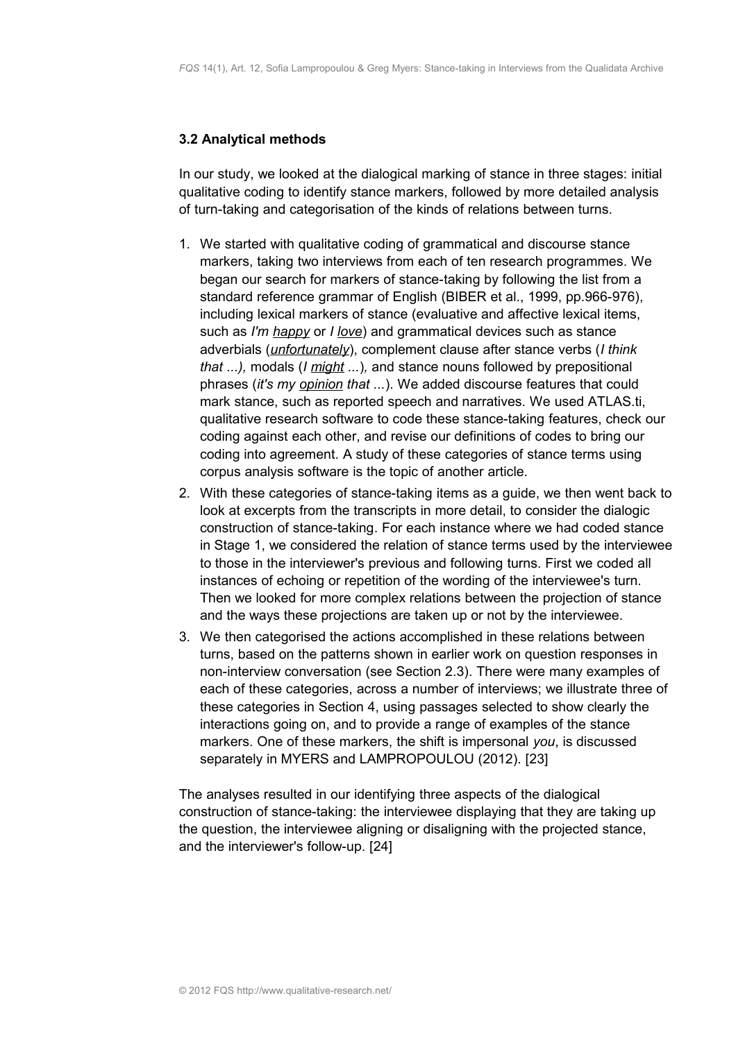#### <span id="page-8-0"></span>**3.2 Analytical methods**

In our study, we looked at the dialogical marking of stance in three stages: initial qualitative coding to identify stance markers, followed by more detailed analysis of turn-taking and categorisation of the kinds of relations between turns.

- 1. We started with qualitative coding of grammatical and discourse stance markers, taking two interviews from each of ten research programmes. We began our search for markers of stance-taking by following the list from a standard reference grammar of English (BIBER et al., 1999, pp.966-976), including lexical markers of stance (evaluative and affective lexical items, such as *I'm happy* or *I love*) and grammatical devices such as stance adverbials (*unfortunately*), complement clause after stance verbs (*I think that ...),* modals (*I might ...*)*,* and stance nouns followed by prepositional phrases (*it's my opinion that ...*). We added discourse features that could mark stance, such as reported speech and narratives. We used ATLAS.ti, qualitative research software to code these stance-taking features, check our coding against each other, and revise our definitions of codes to bring our coding into agreement. A study of these categories of stance terms using corpus analysis software is the topic of another article.
- 2. With these categories of stance-taking items as a guide, we then went back to look at excerpts from the transcripts in more detail, to consider the dialogic construction of stance-taking. For each instance where we had coded stance in Stage 1, we considered the relation of stance terms used by the interviewee to those in the interviewer's previous and following turns. First we coded all instances of echoing or repetition of the wording of the interviewee's turn. Then we looked for more complex relations between the projection of stance and the ways these projections are taken up or not by the interviewee.
- 3. We then categorised the actions accomplished in these relations between turns, based on the patterns shown in earlier work on question responses in non-interview conversation (see Section 2.3). There were many examples of each of these categories, across a number of interviews; we illustrate three of these categories in Section 4, using passages selected to show clearly the interactions going on, and to provide a range of examples of the stance markers. One of these markers, the shift is impersonal *you*, is discussed separately in MYERS and LAMPROPOULOU (2012). [23]

The analyses resulted in our identifying three aspects of the dialogical construction of stance-taking: the interviewee displaying that they are taking up the question, the interviewee aligning or disaligning with the projected stance, and the interviewer's follow-up. [24]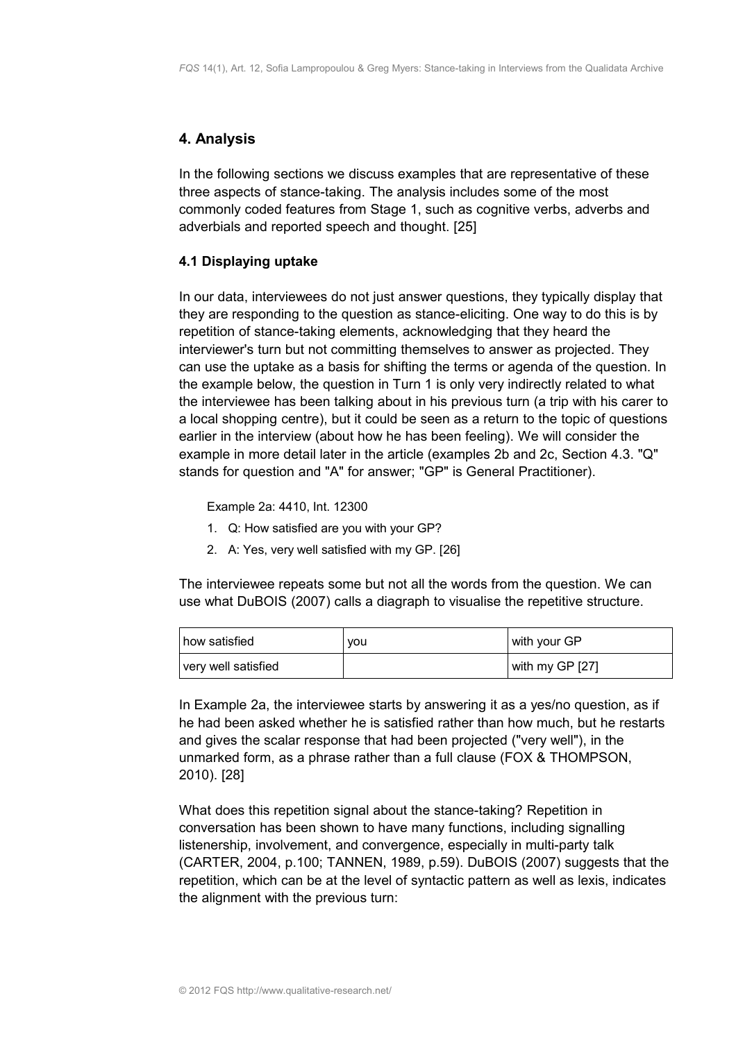# <span id="page-9-1"></span>**4. Analysis**

In the following sections we discuss examples that are representative of these three aspects of stance-taking. The analysis includes some of the most commonly coded features from Stage 1, such as cognitive verbs, adverbs and adverbials and reported speech and thought. [25]

# <span id="page-9-0"></span>**4.1 Displaying uptake**

In our data, interviewees do not just answer questions, they typically display that they are responding to the question as stance-eliciting. One way to do this is by repetition of stance-taking elements, acknowledging that they heard the interviewer's turn but not committing themselves to answer as projected. They can use the uptake as a basis for shifting the terms or agenda of the question. In the example below, the question in Turn 1 is only very indirectly related to what the interviewee has been talking about in his previous turn (a trip with his carer to a local shopping centre), but it could be seen as a return to the topic of questions earlier in the interview (about how he has been feeling). We will consider the example in more detail later in the article (examples 2b and 2c, Section 4.3. "Q" stands for question and "A" for answer; "GP" is General Practitioner).

Example 2a: 4410, Int. 12300

- 1. Q: How satisfied are you with your GP?
- 2. A: Yes, very well satisfied with my GP. [26]

The interviewee repeats some but not all the words from the question. We can use what DuBOIS (2007) calls a diagraph to visualise the repetitive structure.

| I how satisfied     | vou | with your GP    |
|---------------------|-----|-----------------|
| very well satisfied |     | with my GP [27] |

In Example 2a, the interviewee starts by answering it as a yes/no question, as if he had been asked whether he is satisfied rather than how much, but he restarts and gives the scalar response that had been projected ("very well"), in the unmarked form, as a phrase rather than a full clause (FOX & THOMPSON, 2010). [28]

What does this repetition signal about the stance-taking? Repetition in conversation has been shown to have many functions, including signalling listenership, involvement, and convergence, especially in multi-party talk (CARTER, 2004, p.100; TANNEN, 1989, p.59). DuBOIS (2007) suggests that the repetition, which can be at the level of syntactic pattern as well as lexis, indicates the alignment with the previous turn: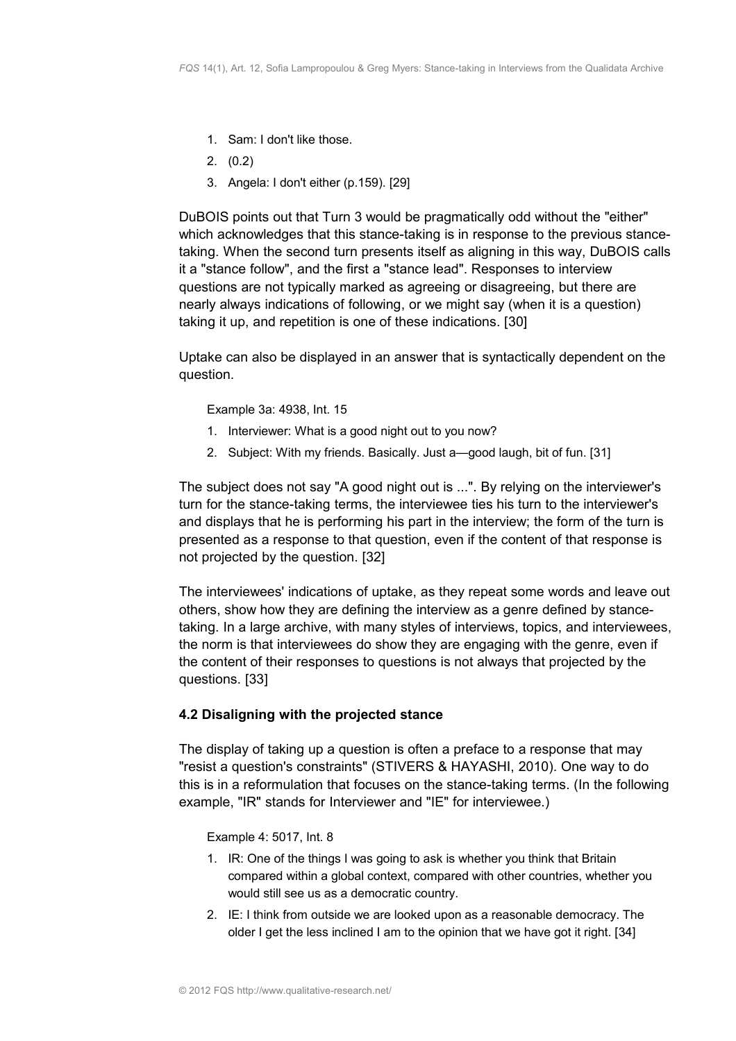- 1. Sam: I don't like those.
- 2. (0.2)
- 3. Angela: I don't either (p.159). [29]

DuBOIS points out that Turn 3 would be pragmatically odd without the "either" which acknowledges that this stance-taking is in response to the previous stancetaking. When the second turn presents itself as aligning in this way, DuBOIS calls it a "stance follow", and the first a "stance lead". Responses to interview questions are not typically marked as agreeing or disagreeing, but there are nearly always indications of following, or we might say (when it is a question) taking it up, and repetition is one of these indications. [30]

Uptake can also be displayed in an answer that is syntactically dependent on the question.

Example 3a: 4938, Int. 15

- 1. Interviewer: What is a good night out to you now?
- 2. Subject: With my friends. Basically. Just a—good laugh, bit of fun. [31]

The subject does not say "A good night out is ...". By relying on the interviewer's turn for the stance-taking terms, the interviewee ties his turn to the interviewer's and displays that he is performing his part in the interview; the form of the turn is presented as a response to that question, even if the content of that response is not projected by the question. [32]

The interviewees' indications of uptake, as they repeat some words and leave out others, show how they are defining the interview as a genre defined by stancetaking. In a large archive, with many styles of interviews, topics, and interviewees, the norm is that interviewees do show they are engaging with the genre, even if the content of their responses to questions is not always that projected by the questions. [33]

# <span id="page-10-0"></span>**4.2 Disaligning with the projected stance**

The display of taking up a question is often a preface to a response that may "resist a question's constraints" (STIVERS & HAYASHI, 2010). One way to do this is in a reformulation that focuses on the stance-taking terms. (In the following example, "IR" stands for Interviewer and "IE" for interviewee.)

Example 4: 5017, Int. 8

- 1. IR: One of the things I was going to ask is whether you think that Britain compared within a global context, compared with other countries, whether you would still see us as a democratic country.
- 2. IE: I think from outside we are looked upon as a reasonable democracy. The older I get the less inclined I am to the opinion that we have got it right. [34]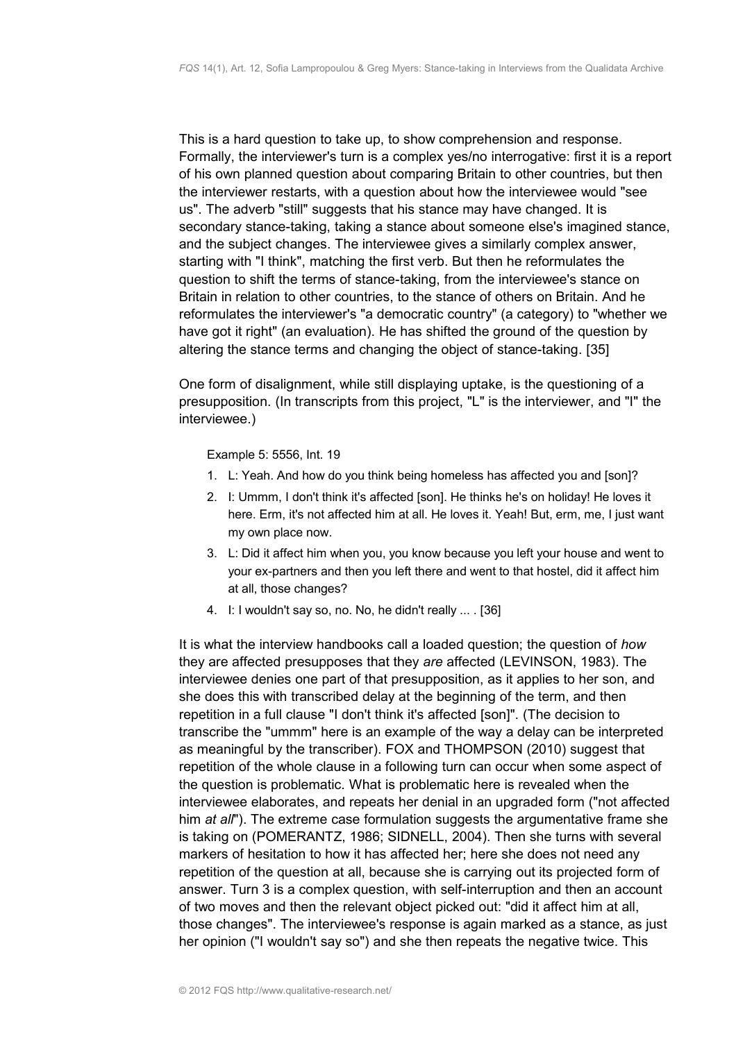This is a hard question to take up, to show comprehension and response. Formally, the interviewer's turn is a complex yes/no interrogative: first it is a report of his own planned question about comparing Britain to other countries, but then the interviewer restarts, with a question about how the interviewee would "see us". The adverb "still" suggests that his stance may have changed. It is secondary stance-taking, taking a stance about someone else's imagined stance, and the subject changes. The interviewee gives a similarly complex answer, starting with "I think", matching the first verb. But then he reformulates the question to shift the terms of stance-taking, from the interviewee's stance on Britain in relation to other countries, to the stance of others on Britain. And he reformulates the interviewer's "a democratic country" (a category) to "whether we have got it right" (an evaluation). He has shifted the ground of the question by altering the stance terms and changing the object of stance-taking. [35]

One form of disalignment, while still displaying uptake, is the questioning of a presupposition. (In transcripts from this project, "L" is the interviewer, and "I" the interviewee.)

Example 5: 5556, Int. 19

- 1. L: Yeah. And how do you think being homeless has affected you and [son]?
- 2. I: Ummm, I don't think it's affected [son]. He thinks he's on holiday! He loves it here. Erm, it's not affected him at all. He loves it. Yeah! But, erm, me, I just want my own place now.
- 3. L: Did it affect him when you, you know because you left your house and went to your ex-partners and then you left there and went to that hostel, did it affect him at all, those changes?
- 4. I: I wouldn't say so, no. No, he didn't really ... . [36]

It is what the interview handbooks call a loaded question; the question of *how* they are affected presupposes that they *are* affected (LEVINSON, 1983). The interviewee denies one part of that presupposition, as it applies to her son, and she does this with transcribed delay at the beginning of the term, and then repetition in a full clause "I don't think it's affected [son]". (The decision to transcribe the "ummm" here is an example of the way a delay can be interpreted as meaningful by the transcriber). FOX and THOMPSON (2010) suggest that repetition of the whole clause in a following turn can occur when some aspect of the question is problematic. What is problematic here is revealed when the interviewee elaborates, and repeats her denial in an upgraded form ("not affected him *at all*"). The extreme case formulation suggests the argumentative frame she is taking on (POMERANTZ, 1986; SIDNELL, 2004). Then she turns with several markers of hesitation to how it has affected her; here she does not need any repetition of the question at all, because she is carrying out its projected form of answer. Turn 3 is a complex question, with self-interruption and then an account of two moves and then the relevant object picked out: "did it affect him at all, those changes". The interviewee's response is again marked as a stance, as just her opinion ("I wouldn't say so") and she then repeats the negative twice. This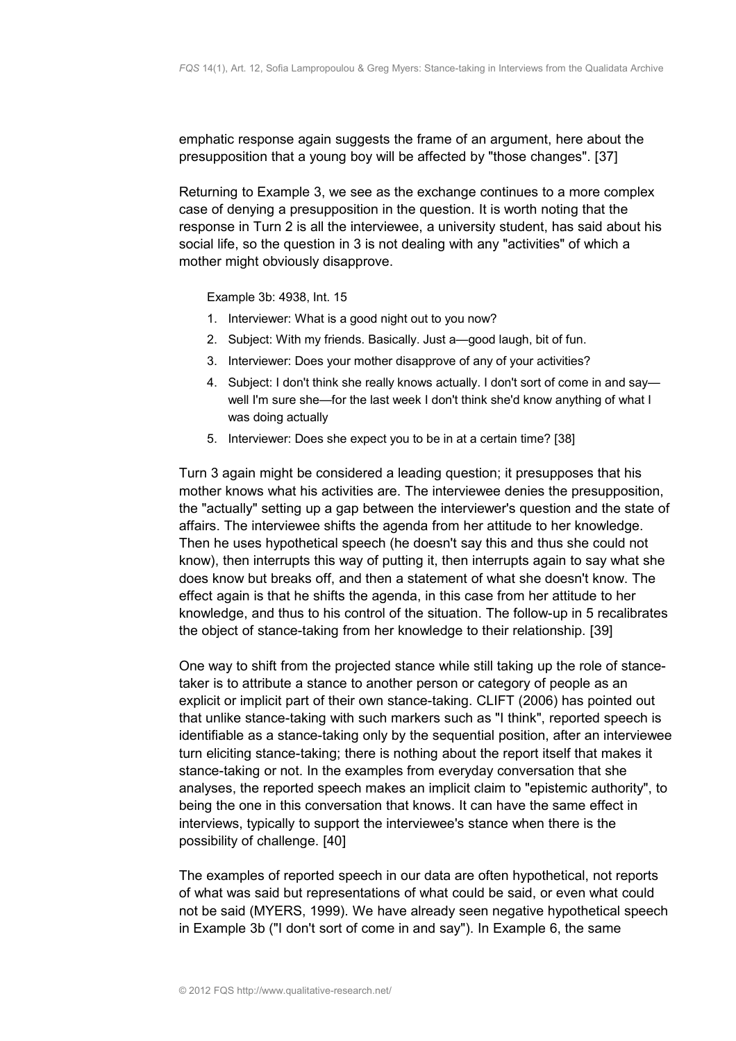emphatic response again suggests the frame of an argument, here about the presupposition that a young boy will be affected by "those changes". [37]

Returning to Example 3, we see as the exchange continues to a more complex case of denying a presupposition in the question. It is worth noting that the response in Turn 2 is all the interviewee, a university student, has said about his social life, so the question in 3 is not dealing with any "activities" of which a mother might obviously disapprove.

Example 3b: 4938, Int. 15

- 1. Interviewer: What is a good night out to you now?
- 2. Subject: With my friends. Basically. Just a—good laugh, bit of fun.
- 3. Interviewer: Does your mother disapprove of any of your activities?
- 4. Subject: I don't think she really knows actually. I don't sort of come in and say well I'm sure she—for the last week I don't think she'd know anything of what I was doing actually
- 5. Interviewer: Does she expect you to be in at a certain time? [38]

Turn 3 again might be considered a leading question; it presupposes that his mother knows what his activities are. The interviewee denies the presupposition, the "actually" setting up a gap between the interviewer's question and the state of affairs. The interviewee shifts the agenda from her attitude to her knowledge. Then he uses hypothetical speech (he doesn't say this and thus she could not know), then interrupts this way of putting it, then interrupts again to say what she does know but breaks off, and then a statement of what she doesn't know. The effect again is that he shifts the agenda, in this case from her attitude to her knowledge, and thus to his control of the situation. The follow-up in 5 recalibrates the object of stance-taking from her knowledge to their relationship. [39]

One way to shift from the projected stance while still taking up the role of stancetaker is to attribute a stance to another person or category of people as an explicit or implicit part of their own stance-taking. CLIFT (2006) has pointed out that unlike stance-taking with such markers such as "I think", reported speech is identifiable as a stance-taking only by the sequential position, after an interviewee turn eliciting stance-taking; there is nothing about the report itself that makes it stance-taking or not. In the examples from everyday conversation that she analyses, the reported speech makes an implicit claim to "epistemic authority", to being the one in this conversation that knows. It can have the same effect in interviews, typically to support the interviewee's stance when there is the possibility of challenge. [40]

The examples of reported speech in our data are often hypothetical, not reports of what was said but representations of what could be said, or even what could not be said (MYERS, 1999). We have already seen negative hypothetical speech in Example 3b ("I don't sort of come in and say"). In Example 6, the same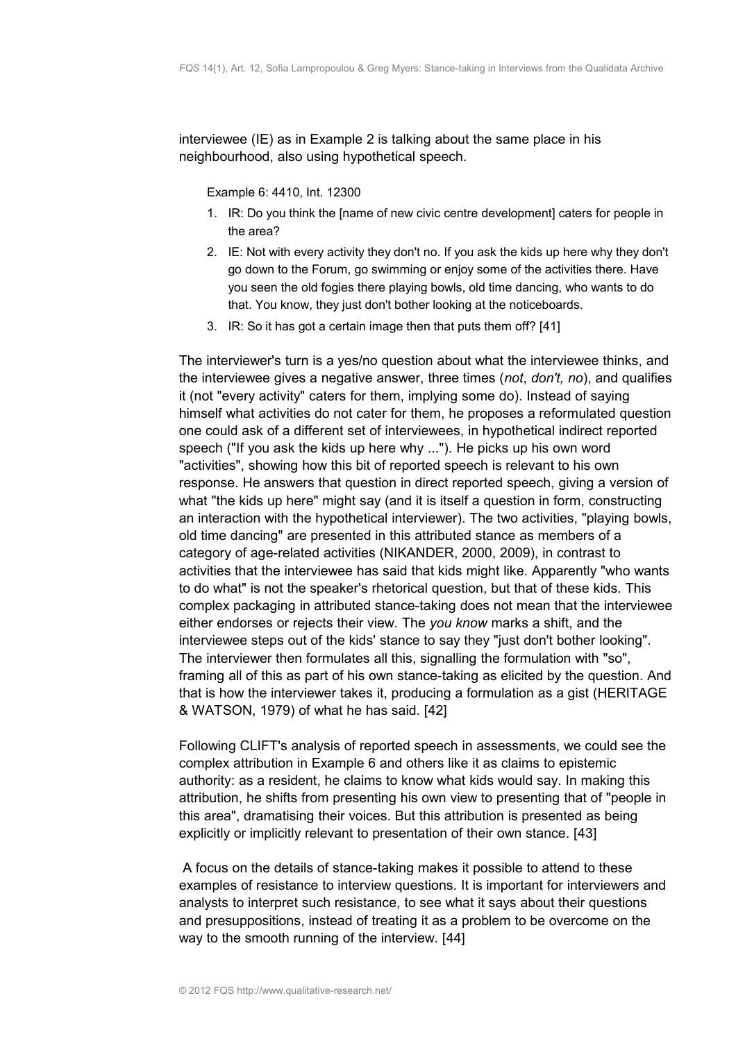interviewee (IE) as in Example 2 is talking about the same place in his neighbourhood, also using hypothetical speech.

Example 6: 4410, Int. 12300

- 1. IR: Do you think the [name of new civic centre development] caters for people in the area?
- 2. IE: Not with every activity they don't no. If you ask the kids up here why they don't go down to the Forum, go swimming or enjoy some of the activities there. Have you seen the old fogies there playing bowls, old time dancing, who wants to do that. You know, they just don't bother looking at the noticeboards.
- 3. IR: So it has got a certain image then that puts them off? [41]

The interviewer's turn is a yes/no question about what the interviewee thinks, and the interviewee gives a negative answer, three times (*not*, *don't, no*), and qualifies it (not "every activity" caters for them, implying some do). Instead of saying himself what activities do not cater for them, he proposes a reformulated question one could ask of a different set of interviewees, in hypothetical indirect reported speech ("If you ask the kids up here why ..."). He picks up his own word "activities", showing how this bit of reported speech is relevant to his own response. He answers that question in direct reported speech, giving a version of what "the kids up here" might say (and it is itself a question in form, constructing an interaction with the hypothetical interviewer). The two activities, "playing bowls, old time dancing" are presented in this attributed stance as members of a category of age-related activities (NIKANDER, 2000, 2009), in contrast to activities that the interviewee has said that kids might like. Apparently "who wants to do what" is not the speaker's rhetorical question, but that of these kids. This complex packaging in attributed stance-taking does not mean that the interviewee either endorses or rejects their view. The *you know* marks a shift, and the interviewee steps out of the kids' stance to say they "just don't bother looking". The interviewer then formulates all this, signalling the formulation with "so", framing all of this as part of his own stance-taking as elicited by the question. And that is how the interviewer takes it, producing a formulation as a gist (HERITAGE & WATSON, 1979) of what he has said. [42]

Following CLIFT's analysis of reported speech in assessments, we could see the complex attribution in Example 6 and others like it as claims to epistemic authority: as a resident, he claims to know what kids would say. In making this attribution, he shifts from presenting his own view to presenting that of "people in this area", dramatising their voices. But this attribution is presented as being explicitly or implicitly relevant to presentation of their own stance. [43]

 A focus on the details of stance-taking makes it possible to attend to these examples of resistance to interview questions. It is important for interviewers and analysts to interpret such resistance, to see what it says about their questions and presuppositions, instead of treating it as a problem to be overcome on the way to the smooth running of the interview. [44]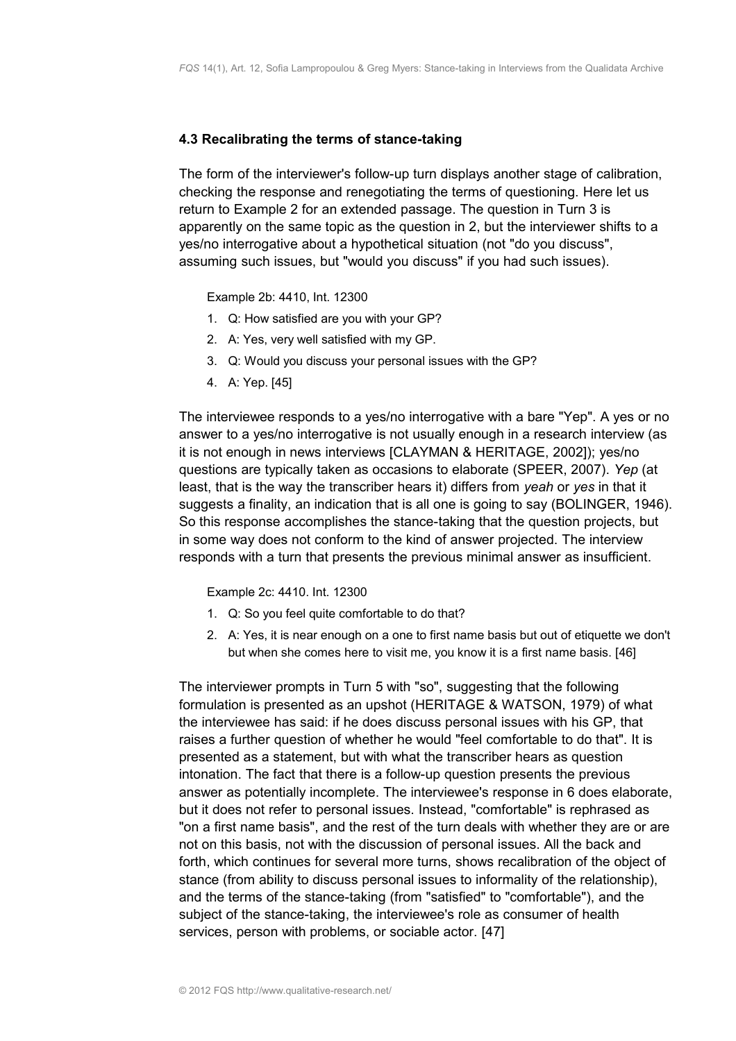#### <span id="page-14-0"></span>**4.3 Recalibrating the terms of stance-taking**

The form of the interviewer's follow-up turn displays another stage of calibration, checking the response and renegotiating the terms of questioning. Here let us return to Example 2 for an extended passage. The question in Turn 3 is apparently on the same topic as the question in 2, but the interviewer shifts to a yes/no interrogative about a hypothetical situation (not "do you discuss", assuming such issues, but "would you discuss" if you had such issues).

Example 2b: 4410, Int. 12300

- 1. Q: How satisfied are you with your GP?
- 2. A: Yes, very well satisfied with my GP.
- 3. Q: Would you discuss your personal issues with the GP?
- 4. A: Yep. [45]

The interviewee responds to a yes/no interrogative with a bare "Yep". A yes or no answer to a yes/no interrogative is not usually enough in a research interview (as it is not enough in news interviews [CLAYMAN & HERITAGE, 2002]); yes/no questions are typically taken as occasions to elaborate (SPEER, 2007). *Yep* (at least, that is the way the transcriber hears it) differs from *yeah* or *yes* in that it suggests a finality, an indication that is all one is going to say (BOLINGER, 1946). So this response accomplishes the stance-taking that the question projects, but in some way does not conform to the kind of answer projected. The interview responds with a turn that presents the previous minimal answer as insufficient.

Example 2c: 4410. Int. 12300

- 1. Q: So you feel quite comfortable to do that?
- 2. A: Yes, it is near enough on a one to first name basis but out of etiquette we don't but when she comes here to visit me, you know it is a first name basis. [46]

The interviewer prompts in Turn 5 with "so", suggesting that the following formulation is presented as an upshot (HERITAGE & WATSON, 1979) of what the interviewee has said: if he does discuss personal issues with his GP, that raises a further question of whether he would "feel comfortable to do that". It is presented as a statement, but with what the transcriber hears as question intonation. The fact that there is a follow-up question presents the previous answer as potentially incomplete. The interviewee's response in 6 does elaborate, but it does not refer to personal issues. Instead, "comfortable" is rephrased as "on a first name basis", and the rest of the turn deals with whether they are or are not on this basis, not with the discussion of personal issues. All the back and forth, which continues for several more turns, shows recalibration of the object of stance (from ability to discuss personal issues to informality of the relationship), and the terms of the stance-taking (from "satisfied" to "comfortable"), and the subject of the stance-taking, the interviewee's role as consumer of health services, person with problems, or sociable actor. [47]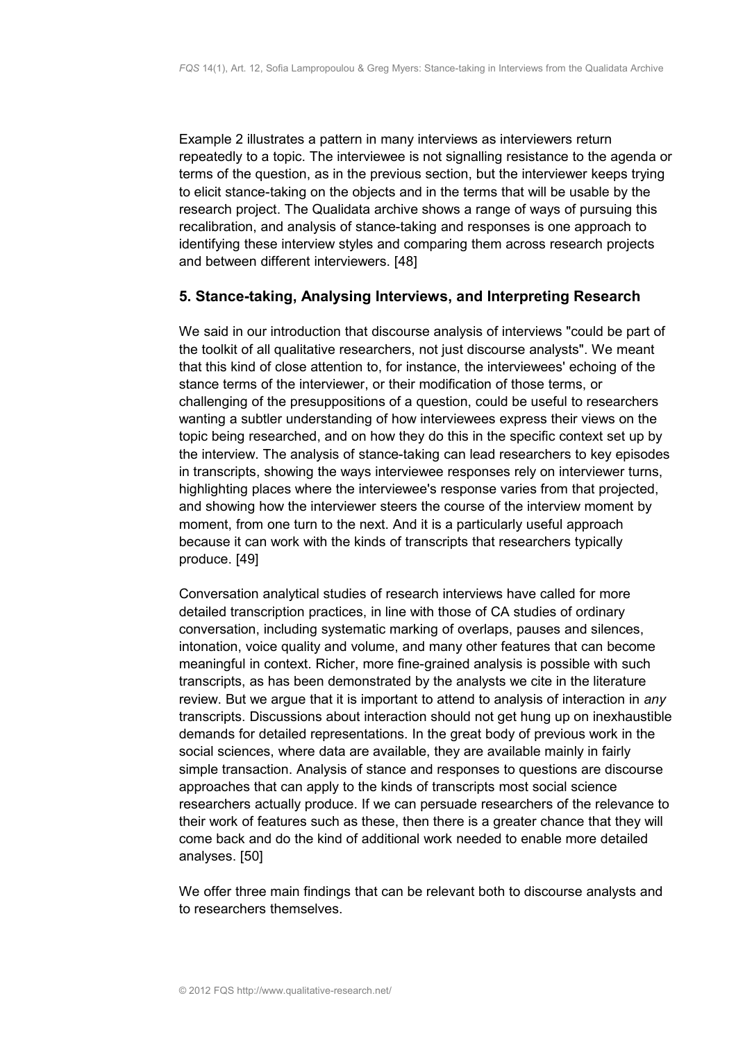Example 2 illustrates a pattern in many interviews as interviewers return repeatedly to a topic. The interviewee is not signalling resistance to the agenda or terms of the question, as in the previous section, but the interviewer keeps trying to elicit stance-taking on the objects and in the terms that will be usable by the research project. The Qualidata archive shows a range of ways of pursuing this recalibration, and analysis of stance-taking and responses is one approach to identifying these interview styles and comparing them across research projects and between different interviewers. [48]

# <span id="page-15-0"></span>**5. Stance-taking, Analysing Interviews, and Interpreting Research**

We said in our introduction that discourse analysis of interviews "could be part of the toolkit of all qualitative researchers, not just discourse analysts". We meant that this kind of close attention to, for instance, the interviewees' echoing of the stance terms of the interviewer, or their modification of those terms, or challenging of the presuppositions of a question, could be useful to researchers wanting a subtler understanding of how interviewees express their views on the topic being researched, and on how they do this in the specific context set up by the interview. The analysis of stance-taking can lead researchers to key episodes in transcripts, showing the ways interviewee responses rely on interviewer turns, highlighting places where the interviewee's response varies from that projected, and showing how the interviewer steers the course of the interview moment by moment, from one turn to the next. And it is a particularly useful approach because it can work with the kinds of transcripts that researchers typically produce. [49]

Conversation analytical studies of research interviews have called for more detailed transcription practices, in line with those of CA studies of ordinary conversation, including systematic marking of overlaps, pauses and silences, intonation, voice quality and volume, and many other features that can become meaningful in context. Richer, more fine-grained analysis is possible with such transcripts, as has been demonstrated by the analysts we cite in the literature review. But we argue that it is important to attend to analysis of interaction in *any* transcripts. Discussions about interaction should not get hung up on inexhaustible demands for detailed representations. In the great body of previous work in the social sciences, where data are available, they are available mainly in fairly simple transaction. Analysis of stance and responses to questions are discourse approaches that can apply to the kinds of transcripts most social science researchers actually produce. If we can persuade researchers of the relevance to their work of features such as these, then there is a greater chance that they will come back and do the kind of additional work needed to enable more detailed analyses. [50]

We offer three main findings that can be relevant both to discourse analysts and to researchers themselves.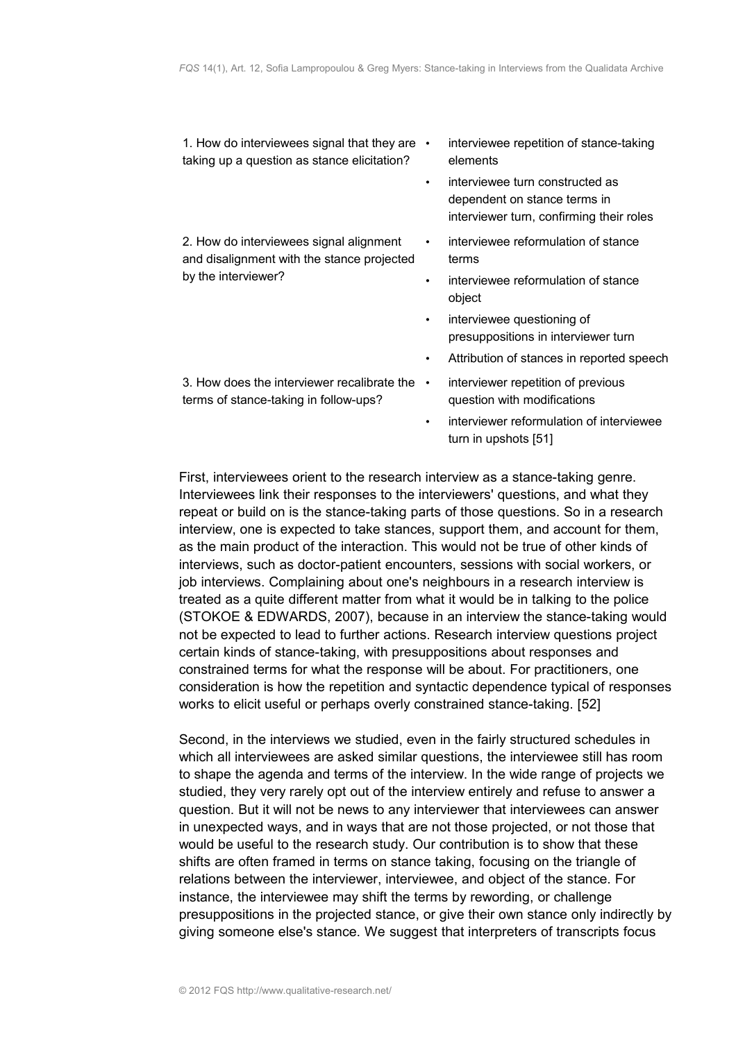1. How do interviewees signal that they are  $\cdot$ taking up a question as stance elicitation?

2. How do interviewees signal alignment and disalignment with the stance projected by the interviewer?

- interviewee repetition of stance-taking elements
- interviewee turn constructed as dependent on stance terms in interviewer turn, confirming their roles
- interviewee reformulation of stance terms
- interviewee reformulation of stance object
- interviewee questioning of presuppositions in interviewer turn
- Attribution of stances in reported speech
- 3. How does the interviewer recalibrate the  $\cdot$ terms of stance-taking in follow-ups?
- interviewer repetition of previous question with modifications
	- interviewer reformulation of interviewee turn in upshots [51]

First, interviewees orient to the research interview as a stance-taking genre. Interviewees link their responses to the interviewers' questions, and what they repeat or build on is the stance-taking parts of those questions. So in a research interview, one is expected to take stances, support them, and account for them, as the main product of the interaction. This would not be true of other kinds of interviews, such as doctor-patient encounters, sessions with social workers, or job interviews. Complaining about one's neighbours in a research interview is treated as a quite different matter from what it would be in talking to the police (STOKOE & EDWARDS, 2007), because in an interview the stance-taking would not be expected to lead to further actions. Research interview questions project certain kinds of stance-taking, with presuppositions about responses and constrained terms for what the response will be about. For practitioners, one consideration is how the repetition and syntactic dependence typical of responses works to elicit useful or perhaps overly constrained stance-taking. [52]

Second, in the interviews we studied, even in the fairly structured schedules in which all interviewees are asked similar questions, the interviewee still has room to shape the agenda and terms of the interview. In the wide range of projects we studied, they very rarely opt out of the interview entirely and refuse to answer a question. But it will not be news to any interviewer that interviewees can answer in unexpected ways, and in ways that are not those projected, or not those that would be useful to the research study. Our contribution is to show that these shifts are often framed in terms on stance taking, focusing on the triangle of relations between the interviewer, interviewee, and object of the stance. For instance, the interviewee may shift the terms by rewording, or challenge presuppositions in the projected stance, or give their own stance only indirectly by giving someone else's stance. We suggest that interpreters of transcripts focus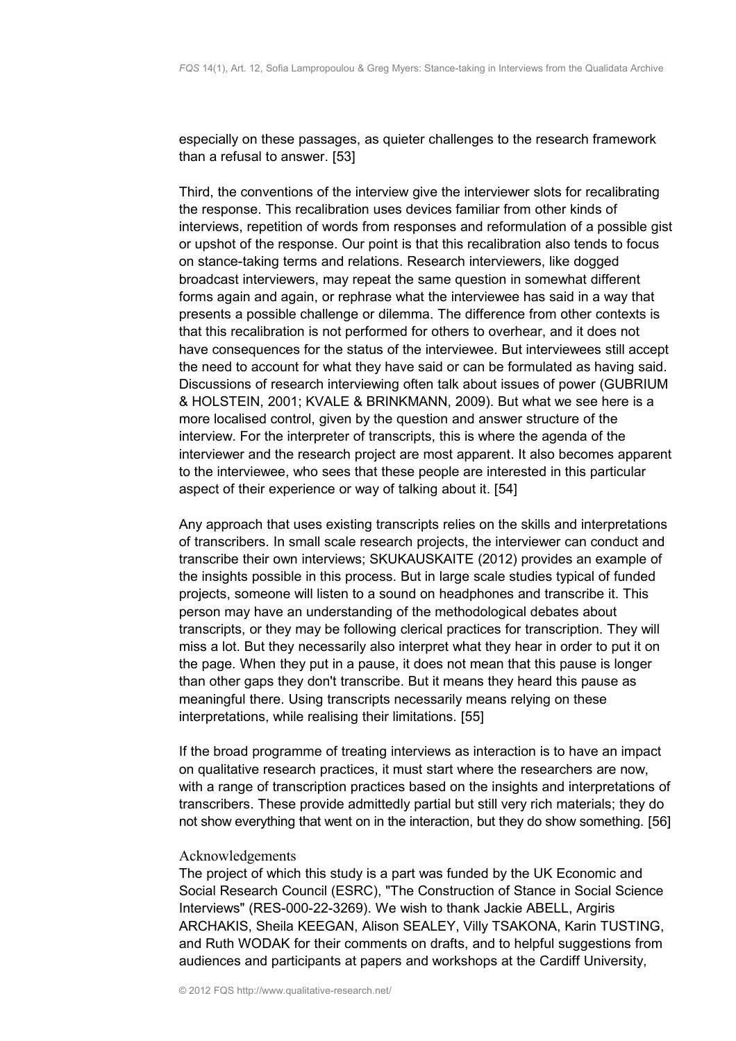especially on these passages, as quieter challenges to the research framework than a refusal to answer. [53]

Third, the conventions of the interview give the interviewer slots for recalibrating the response. This recalibration uses devices familiar from other kinds of interviews, repetition of words from responses and reformulation of a possible gist or upshot of the response. Our point is that this recalibration also tends to focus on stance-taking terms and relations. Research interviewers, like dogged broadcast interviewers, may repeat the same question in somewhat different forms again and again, or rephrase what the interviewee has said in a way that presents a possible challenge or dilemma. The difference from other contexts is that this recalibration is not performed for others to overhear, and it does not have consequences for the status of the interviewee. But interviewees still accept the need to account for what they have said or can be formulated as having said. Discussions of research interviewing often talk about issues of power (GUBRIUM & HOLSTEIN, 2001; KVALE & BRINKMANN, 2009). But what we see here is a more localised control, given by the question and answer structure of the interview. For the interpreter of transcripts, this is where the agenda of the interviewer and the research project are most apparent. It also becomes apparent to the interviewee, who sees that these people are interested in this particular aspect of their experience or way of talking about it. [54]

Any approach that uses existing transcripts relies on the skills and interpretations of transcribers. In small scale research projects, the interviewer can conduct and transcribe their own interviews; SKUKAUSKAITE (2012) provides an example of the insights possible in this process. But in large scale studies typical of funded projects, someone will listen to a sound on headphones and transcribe it. This person may have an understanding of the methodological debates about transcripts, or they may be following clerical practices for transcription. They will miss a lot. But they necessarily also interpret what they hear in order to put it on the page. When they put in a pause, it does not mean that this pause is longer than other gaps they don't transcribe. But it means they heard this pause as meaningful there. Using transcripts necessarily means relying on these interpretations, while realising their limitations. [55]

If the broad programme of treating interviews as interaction is to have an impact on qualitative research practices, it must start where the researchers are now, with a range of transcription practices based on the insights and interpretations of transcribers. These provide admittedly partial but still very rich materials; they do not show everything that went on in the interaction, but they do show something. [56]

#### <span id="page-17-0"></span>Acknowledgements

The project of which this study is a part was funded by the UK Economic and Social Research Council (ESRC), "The Construction of Stance in Social Science Interviews" (RES-000-22-3269). We wish to thank Jackie ABELL, Argiris ARCHAKIS, Sheila KEEGAN, Alison SEALEY, Villy TSAKONA, Karin TUSTING, and Ruth WODAK for their comments on drafts, and to helpful suggestions from audiences and participants at papers and workshops at the Cardiff University,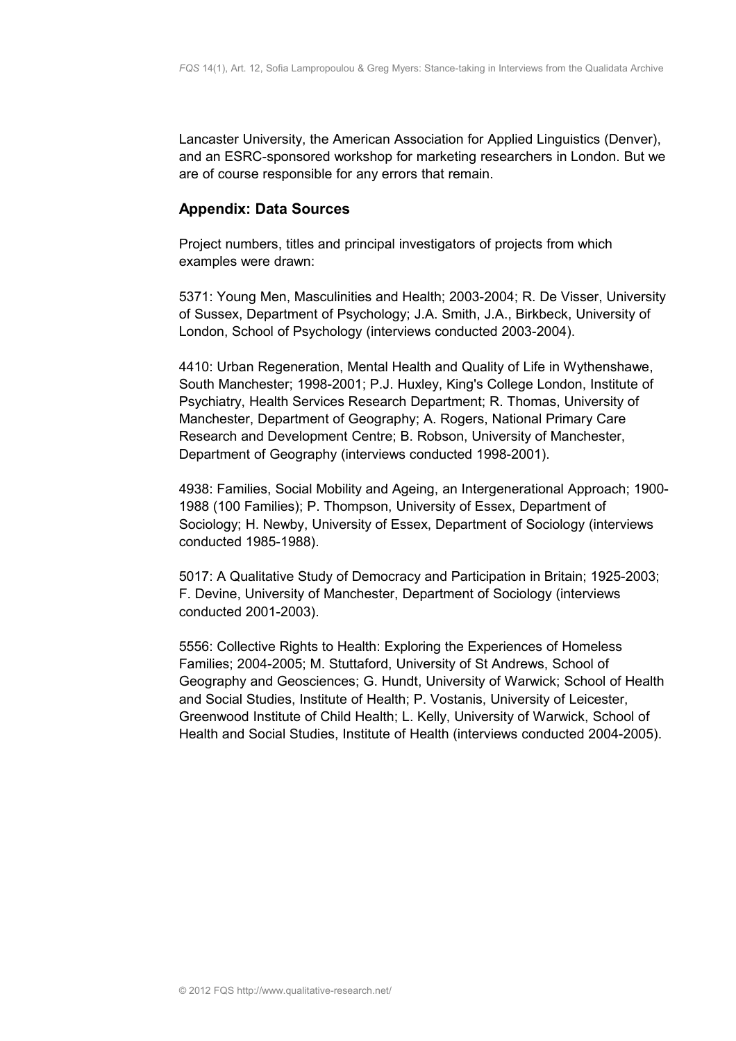Lancaster University, the American Association for Applied Linguistics (Denver), and an ESRC-sponsored workshop for marketing researchers in London. But we are of course responsible for any errors that remain.

# <span id="page-18-0"></span>**Appendix: Data Sources**

Project numbers, titles and principal investigators of projects from which examples were drawn:

5371: Young Men, Masculinities and Health; 2003-2004; R. De Visser, University of Sussex, Department of Psychology; J.A. Smith, J.A., Birkbeck, University of London, School of Psychology (interviews conducted 2003-2004).

4410: Urban Regeneration, Mental Health and Quality of Life in Wythenshawe, South Manchester; 1998-2001; P.J. Huxley, King's College London, Institute of Psychiatry, Health Services Research Department; R. Thomas, University of Manchester, Department of Geography; A. Rogers, National Primary Care Research and Development Centre; B. Robson, University of Manchester, Department of Geography (interviews conducted 1998-2001).

4938: Families, Social Mobility and Ageing, an Intergenerational Approach; 1900- 1988 (100 Families); P. Thompson, University of Essex, Department of Sociology; H. Newby, University of Essex, Department of Sociology (interviews conducted 1985-1988).

5017: A Qualitative Study of Democracy and Participation in Britain; 1925-2003; F. Devine, University of Manchester, Department of Sociology (interviews conducted 2001-2003).

5556: Collective Rights to Health: Exploring the Experiences of Homeless Families; 2004-2005; M. Stuttaford, University of St Andrews, School of Geography and Geosciences; G. Hundt, University of Warwick; School of Health and Social Studies, Institute of Health; P. Vostanis, University of Leicester, Greenwood Institute of Child Health; L. Kelly, University of Warwick, School of Health and Social Studies, Institute of Health (interviews conducted 2004-2005).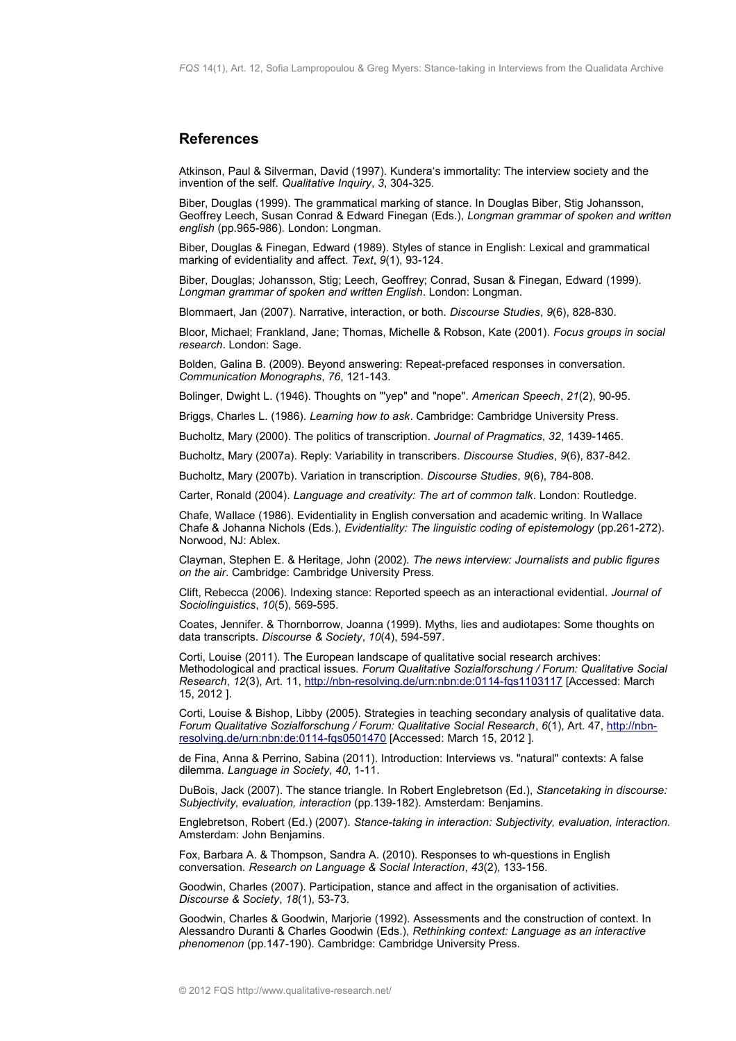#### <span id="page-19-0"></span>**References**

Atkinson, Paul & Silverman, David (1997). Kundera's immortality: The interview society and the invention of the self. *Qualitative Inquiry*, *3*, 304-325.

Biber, Douglas (1999). The grammatical marking of stance. In Douglas Biber, Stig Johansson, Geoffrey Leech, Susan Conrad & Edward Finegan (Eds.), *Longman grammar of spoken and written english* (pp.965-986). London: Longman.

Biber, Douglas & Finegan, Edward (1989). Styles of stance in English: Lexical and grammatical marking of evidentiality and affect. *Text*, *9*(1), 93-124.

Biber, Douglas; Johansson, Stig; Leech, Geoffrey; Conrad, Susan & Finegan, Edward (1999). *Longman grammar of spoken and written English*. London: Longman.

Blommaert, Jan (2007). Narrative, interaction, or both. *Discourse Studies*, *9*(6), 828-830.

Bloor, Michael; Frankland, Jane; Thomas, Michelle & Robson, Kate (2001). *Focus groups in social research*. London: Sage.

Bolden, Galina B. (2009). Beyond answering: Repeat-prefaced responses in conversation. *Communication Monographs*, *76*, 121-143.

Bolinger, Dwight L. (1946). Thoughts on "'yep" and "nope". *American Speech*, *21*(2), 90-95.

Briggs, Charles L. (1986). *Learning how to ask*. Cambridge: Cambridge University Press.

Bucholtz, Mary (2000). The politics of transcription. *Journal of Pragmatics*, *32*, 1439-1465.

Bucholtz, Mary (2007a). Reply: Variability in transcribers. *Discourse Studies*, *9*(6), 837-842.

Bucholtz, Mary (2007b). Variation in transcription. *Discourse Studies*, *9*(6), 784-808.

Carter, Ronald (2004). *Language and creativity: The art of common talk*. London: Routledge.

Chafe, Wallace (1986). Evidentiality in English conversation and academic writing. In Wallace Chafe & Johanna Nichols (Eds.), *Evidentiality: The linguistic coding of epistemology* (pp.261-272). Norwood, NJ: Ablex.

Clayman, Stephen E. & Heritage, John (2002). *The news interview: Journalists and public figures on the air*. Cambridge: Cambridge University Press.

Clift, Rebecca (2006). Indexing stance: Reported speech as an interactional evidential. *Journal of Sociolinguistics*, *10*(5), 569-595.

Coates, Jennifer. & Thornborrow, Joanna (1999). Myths, lies and audiotapes: Some thoughts on data transcripts. *Discourse & Society*, *10*(4), 594-597.

Corti, Louise (2011). The European landscape of qualitative social research archives: Methodological and practical issues. *Forum Qualitative Sozialforschung / Forum: Qualitative Social Research*, *12*(3), Art. 11,<http://nbn-resolving.de/urn:nbn:de:0114-fqs1103117>[Accessed: March 15, 2012 ].

Corti, Louise & Bishop, Libby (2005). Strategies in teaching secondary analysis of qualitative data. *Forum Qualitative Sozialforschung / Forum: Qualitative Social Research*, *6*(1), Art. 47, [http://nbn](http://nbn-resolving.de/urn:nbn:de:0114-fqs0501470)[resolving.de/urn:nbn:de:0114-fqs0501470](http://nbn-resolving.de/urn:nbn:de:0114-fqs0501470) [Accessed: March 15, 2012 ].

de Fina, Anna & Perrino, Sabina (2011). Introduction: Interviews vs. "natural" contexts: A false dilemma. *Language in Society*, *40*, 1-11.

DuBois, Jack (2007). The stance triangle. In Robert Englebretson (Ed.), *Stancetaking in discourse: Subjectivity, evaluation, interaction* (pp.139-182). Amsterdam: Benjamins.

Englebretson, Robert (Ed.) (2007). *Stance-taking in interaction: Subjectivity, evaluation, interaction.* Amsterdam: John Benjamins.

Fox, Barbara A. & Thompson, Sandra A. (2010). Responses to wh-questions in English conversation. *Research on Language & Social Interaction*, *43*(2), 133-156.

Goodwin, Charles (2007). Participation, stance and affect in the organisation of activities. *Discourse & Society*, *18*(1), 53-73.

Goodwin, Charles & Goodwin, Marjorie (1992). Assessments and the construction of context. In Alessandro Duranti & Charles Goodwin (Eds.), *Rethinking context: Language as an interactive phenomenon* (pp.147-190). Cambridge: Cambridge University Press.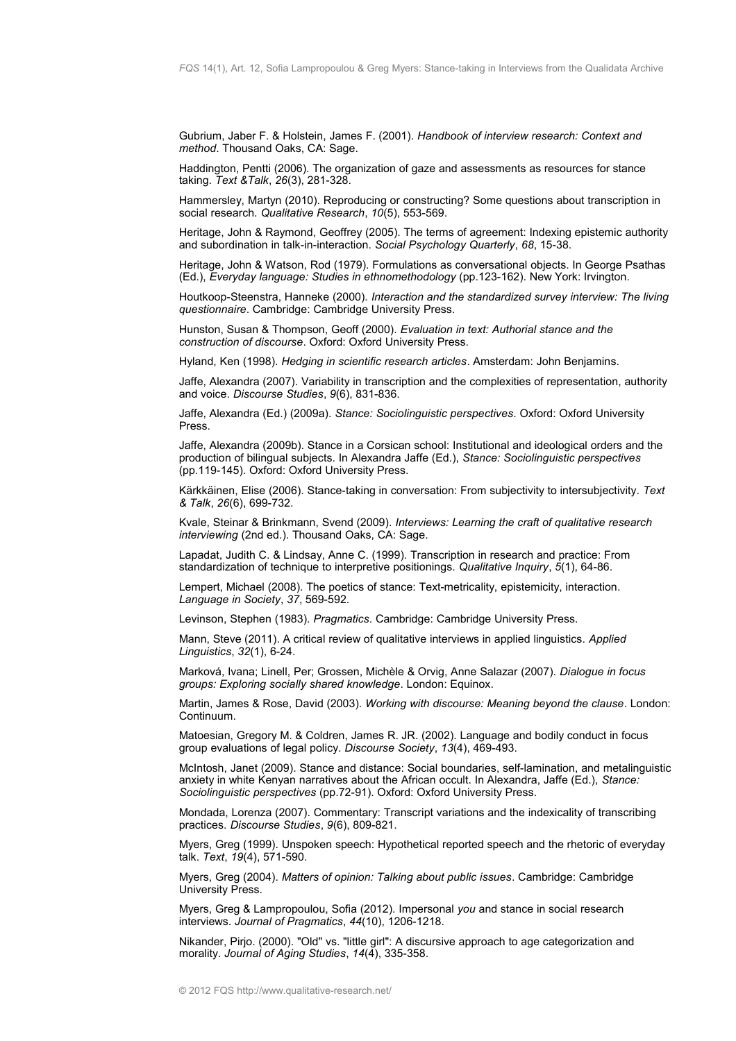Gubrium, Jaber F. & Holstein, James F. (2001). *Handbook of interview research: Context and method*. Thousand Oaks, CA: Sage.

Haddington, Pentti (2006). The organization of gaze and assessments as resources for stance taking. *Text &Talk*, *26*(3), 281-328.

Hammersley, Martyn (2010). Reproducing or constructing? Some questions about transcription in social research. *Qualitative Research*, *10*(5), 553-569.

Heritage, John & Raymond, Geoffrey (2005). The terms of agreement: Indexing epistemic authority and subordination in talk-in-interaction. *Social Psychology Quarterly*, *68*, 15-38.

Heritage, John & Watson, Rod (1979). Formulations as conversational objects. In George Psathas (Ed.), *Everyday language: Studies in ethnomethodology* (pp.123-162). New York: Irvington.

Houtkoop-Steenstra, Hanneke (2000). *Interaction and the standardized survey interview: The living questionnaire*. Cambridge: Cambridge University Press.

Hunston, Susan & Thompson, Geoff (2000). *Evaluation in text: Authorial stance and the construction of discourse*. Oxford: Oxford University Press.

Hyland, Ken (1998). *Hedging in scientific research articles*. Amsterdam: John Benjamins.

Jaffe, Alexandra (2007). Variability in transcription and the complexities of representation, authority and voice. *Discourse Studies*, *9*(6), 831-836.

Jaffe, Alexandra (Ed.) (2009a). *Stance: Sociolinguistic perspectives*. Oxford: Oxford University Press.

Jaffe, Alexandra (2009b). Stance in a Corsican school: Institutional and ideological orders and the production of bilingual subjects. In Alexandra Jaffe (Ed.), *Stance: Sociolinguistic perspectives* (pp.119-145). Oxford: Oxford University Press.

Kärkkäinen, Elise (2006). Stance-taking in conversation: From subjectivity to intersubjectivity. *Text & Talk*, *26*(6), 699-732.

Kvale, Steinar & Brinkmann, Svend (2009). *Interviews: Learning the craft of qualitative research interviewing* (2nd ed.). Thousand Oaks, CA: Sage.

Lapadat, Judith C. & Lindsay, Anne C. (1999). Transcription in research and practice: From standardization of technique to interpretive positionings. *Qualitative Inquiry*, *5*(1), 64-86.

Lempert, Michael (2008). The poetics of stance: Text-metricality, epistemicity, interaction. *Language in Society*, *37*, 569-592.

Levinson, Stephen (1983). *Pragmatics*. Cambridge: Cambridge University Press.

Mann, Steve (2011). A critical review of qualitative interviews in applied linguistics. *Applied Linguistics*, *32*(1), 6-24.

Marková, Ivana; Linell, Per; Grossen, Michèle & Orvig, Anne Salazar (2007). *Dialogue in focus groups: Exploring socially shared knowledge*. London: Equinox.

Martin, James & Rose, David (2003). *Working with discourse: Meaning beyond the clause*. London: Continuum.

Matoesian, Gregory M. & Coldren, James R. JR. (2002). Language and bodily conduct in focus group evaluations of legal policy. *Discourse Society*, *13*(4), 469-493.

McIntosh, Janet (2009). Stance and distance: Social boundaries, self-lamination, and metalinguistic anxiety in white Kenyan narratives about the African occult. In Alexandra, Jaffe (Ed.), *Stance: Sociolinguistic perspectives* (pp.72-91). Oxford: Oxford University Press.

Mondada, Lorenza (2007). Commentary: Transcript variations and the indexicality of transcribing practices. *Discourse Studies*, *9*(6), 809-821.

Myers, Greg (1999). Unspoken speech: Hypothetical reported speech and the rhetoric of everyday talk. *Text*, *19*(4), 571-590.

Myers, Greg (2004). *Matters of opinion: Talking about public issues*. Cambridge: Cambridge University Press.

Myers, Greg & Lampropoulou, Sofia (2012). Impersonal *you* and stance in social research interviews. *Journal of Pragmatics*, *44*(10), 1206-1218.

Nikander, Pirjo. (2000). "Old" vs. "little girl": A discursive approach to age categorization and morality. *Journal of Aging Studies*, *14*(4), 335-358.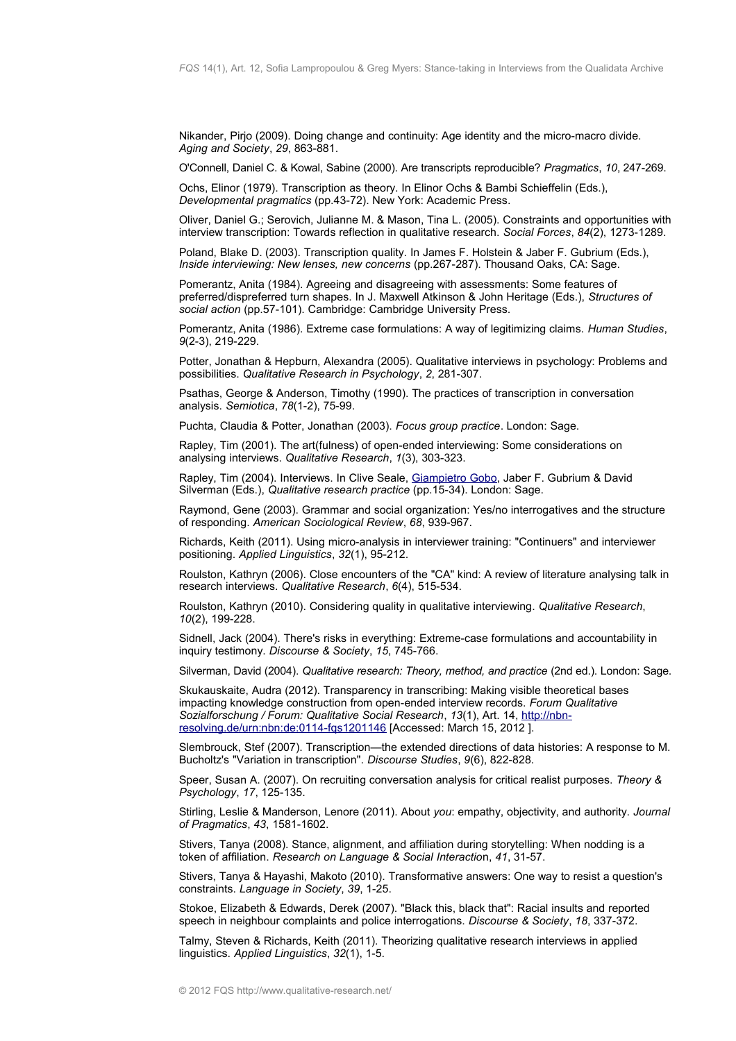Nikander, Pirjo (2009). Doing change and continuity: Age identity and the micro-macro divide. *Aging and Society*, *29*, 863-881.

O'Connell, Daniel C. & Kowal, Sabine (2000). Are transcripts reproducible? *Pragmatics*, *10*, 247-269.

Ochs, Elinor (1979). Transcription as theory. In Elinor Ochs & Bambi Schieffelin (Eds.), *Developmental pragmatics* (pp.43-72). New York: Academic Press.

Oliver, Daniel G.; Serovich, Julianne M. & Mason, Tina L. (2005). Constraints and opportunities with interview transcription: Towards reflection in qualitative research. *Social Forces*, *84*(2), 1273-1289.

Poland, Blake D. (2003). Transcription quality. In James F. Holstein & Jaber F. Gubrium (Eds.), *Inside interviewing: New lenses, new concerns* (pp.267-287). Thousand Oaks, CA: Sage.

Pomerantz, Anita (1984). Agreeing and disagreeing with assessments: Some features of preferred/dispreferred turn shapes. In J. Maxwell Atkinson & John Heritage (Eds.), *Structures of social action* (pp.57-101). Cambridge: Cambridge University Press.

Pomerantz, Anita (1986). Extreme case formulations: A way of legitimizing claims. *Human Studies*, *9*(2-3), 219-229.

Potter, Jonathan & Hepburn, Alexandra (2005). Qualitative interviews in psychology: Problems and possibilities. *Qualitative Research in Psychology*, *2*, 281-307.

Psathas, George & Anderson, Timothy (1990). The practices of transcription in conversation analysis. *Semiotica*, *78*(1-2), 75-99.

Puchta, Claudia & Potter, Jonathan (2003). *Focus group practice*. London: Sage.

Rapley, Tim (2001). The art(fulness) of open-ended interviewing: Some considerations on analysing interviews. *Qualitative Research*, *1*(3), 303-323.

Rapley, Tim (2004). Interviews. In Clive Seale, [Giampietro Gobo,](http://www.qualitative-research.net/index.php/fqs/about/displayMembership/2) Jaber F. Gubrium & David Silverman (Eds.), *Qualitative research practice* (pp.15-34). London: Sage.

Raymond, Gene (2003). Grammar and social organization: Yes/no interrogatives and the structure of responding. *American Sociological Review*, *68*, 939-967.

Richards, Keith (2011). Using micro-analysis in interviewer training: "Continuers" and interviewer positioning. *Applied Linguistics*, *32*(1), 95-212.

Roulston, Kathryn (2006). Close encounters of the "CA" kind: A review of literature analysing talk in research interviews. *Qualitative Research*, *6*(4), 515-534.

Roulston, Kathryn (2010). Considering quality in qualitative interviewing. *Qualitative Research*, *10*(2), 199-228.

Sidnell, Jack (2004). There's risks in everything: Extreme-case formulations and accountability in inquiry testimony. *Discourse & Society*, *15*, 745-766.

Silverman, David (2004). *Qualitative research: Theory, method, and practice* (2nd ed.). London: Sage.

Skukauskaite, Audra (2012). Transparency in transcribing: Making visible theoretical bases impacting knowledge construction from open-ended interview records. *Forum Qualitative Sozialforschung / Forum: Qualitative Social Research*, *13*(1), Art. 14, [http://nbn](http://nbn-resolving.de/urn:nbn:de:0114-fqs1201146)[resolving.de/urn:nbn:de:0114-fqs1201146](http://nbn-resolving.de/urn:nbn:de:0114-fqs1201146) [Accessed: March 15, 2012 ].

Slembrouck, Stef (2007). Transcription—the extended directions of data histories: A response to M. Bucholtz's "Variation in transcription". *Discourse Studies*, *9*(6), 822-828.

Speer, Susan A. (2007). On recruiting conversation analysis for critical realist purposes. *Theory & Psychology*, *17*, 125-135.

Stirling, Leslie & Manderson, Lenore (2011). About *you*: empathy, objectivity, and authority. *Journal of Pragmatics*, *43*, 1581-1602.

Stivers, Tanya (2008). Stance, alignment, and affiliation during storytelling: When nodding is a token of affiliation. *Research on Language & Social Interactio*n, *41*, 31-57.

Stivers, Tanya & Hayashi, Makoto (2010). Transformative answers: One way to resist a question's constraints. *Language in Society*, *39*, 1-25.

Stokoe, Elizabeth & Edwards, Derek (2007). "Black this, black that": Racial insults and reported speech in neighbour complaints and police interrogations. *Discourse & Society*, *18*, 337-372.

Talmy, Steven & Richards, Keith (2011). Theorizing qualitative research interviews in applied linguistics. *Applied Linguistics*, *32*(1), 1-5.